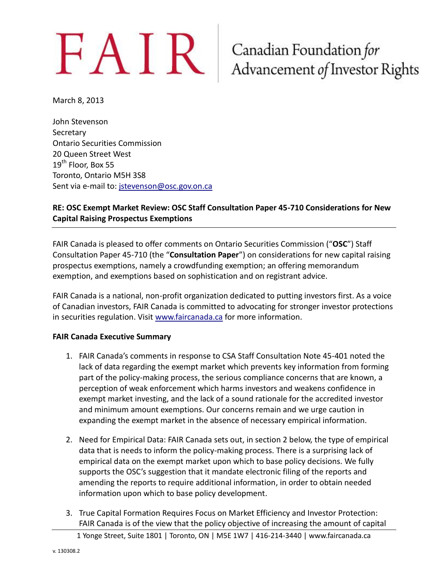# $FAIR$  Canadian Foundation for<br>Advancement of Investor Rights

March 8, 2013

John Stevenson **Secretary** Ontario Securities Commission 20 Queen Street West 19<sup>th</sup> Floor, Box 55 Toronto, Ontario M5H 3S8 Sent via e-mail to: [jstevenson@osc.gov.on.ca](mailto:jstevenson@osc.gov.on.ca)

### **RE: OSC Exempt Market Review: OSC Staff Consultation Paper 45-710 Considerations for New Capital Raising Prospectus Exemptions**

FAIR Canada is pleased to offer comments on Ontario Securities Commission ("**OSC**") Staff Consultation Paper 45-710 (the "**Consultation Paper**") on considerations for new capital raising prospectus exemptions, namely a crowdfunding exemption; an offering memorandum exemption, and exemptions based on sophistication and on registrant advice.

FAIR Canada is a national, non-profit organization dedicated to putting investors first. As a voice of Canadian investors, FAIR Canada is committed to advocating for stronger investor protections in securities regulation. Visit [www.faircanada.ca](http://www.faircanada.ca/) for more information.

### **FAIR Canada Executive Summary**

- 1. FAIR Canada's comments in response to CSA Staff Consultation Note 45-401 noted the lack of data regarding the exempt market which prevents key information from forming part of the policy-making process, the serious compliance concerns that are known, a perception of weak enforcement which harms investors and weakens confidence in exempt market investing, and the lack of a sound rationale for the accredited investor and minimum amount exemptions. Our concerns remain and we urge caution in expanding the exempt market in the absence of necessary empirical information.
- 2. Need for Empirical Data: FAIR Canada sets out, in section 2 below, the type of empirical data that is needs to inform the policy-making process. There is a surprising lack of empirical data on the exempt market upon which to base policy decisions. We fully supports the OSC's suggestion that it mandate electronic filing of the reports and amending the reports to require additional information, in order to obtain needed information upon which to base policy development.
- 3. True Capital Formation Requires Focus on Market Efficiency and Investor Protection: FAIR Canada is of the view that the policy objective of increasing the amount of capital

<sup>1</sup> Yonge Street, Suite 1801 | Toronto, ON | M5E 1W7 | 416-214-3440 | www.faircanada.ca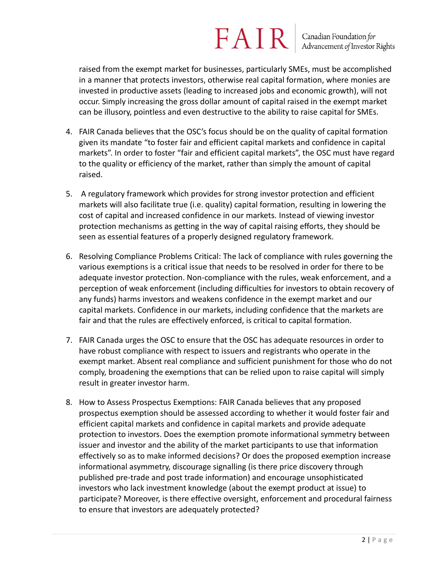## $FAN$  R  $\vert$  Canadian Foundation for Advancement of Investor Rights

raised from the exempt market for businesses, particularly SMEs, must be accomplished in a manner that protects investors, otherwise real capital formation, where monies are invested in productive assets (leading to increased jobs and economic growth), will not occur. Simply increasing the gross dollar amount of capital raised in the exempt market can be illusory, pointless and even destructive to the ability to raise capital for SMEs.

- 4. FAIR Canada believes that the OSC's focus should be on the quality of capital formation given its mandate "to foster fair and efficient capital markets and confidence in capital markets". In order to foster "fair and efficient capital markets", the OSC must have regard to the quality or efficiency of the market, rather than simply the amount of capital raised.
- 5. A regulatory framework which provides for strong investor protection and efficient markets will also facilitate true (i.e. quality) capital formation, resulting in lowering the cost of capital and increased confidence in our markets. Instead of viewing investor protection mechanisms as getting in the way of capital raising efforts, they should be seen as essential features of a properly designed regulatory framework.
- 6. Resolving Compliance Problems Critical: The lack of compliance with rules governing the various exemptions is a critical issue that needs to be resolved in order for there to be adequate investor protection. Non-compliance with the rules, weak enforcement, and a perception of weak enforcement (including difficulties for investors to obtain recovery of any funds) harms investors and weakens confidence in the exempt market and our capital markets. Confidence in our markets, including confidence that the markets are fair and that the rules are effectively enforced, is critical to capital formation.
- 7. FAIR Canada urges the OSC to ensure that the OSC has adequate resources in order to have robust compliance with respect to issuers and registrants who operate in the exempt market. Absent real compliance and sufficient punishment for those who do not comply, broadening the exemptions that can be relied upon to raise capital will simply result in greater investor harm.
- 8. How to Assess Prospectus Exemptions: FAIR Canada believes that any proposed prospectus exemption should be assessed according to whether it would foster fair and efficient capital markets and confidence in capital markets and provide adequate protection to investors. Does the exemption promote informational symmetry between issuer and investor and the ability of the market participants to use that information effectively so as to make informed decisions? Or does the proposed exemption increase informational asymmetry, discourage signalling (is there price discovery through published pre-trade and post trade information) and encourage unsophisticated investors who lack investment knowledge (about the exempt product at issue) to participate? Moreover, is there effective oversight, enforcement and procedural fairness to ensure that investors are adequately protected?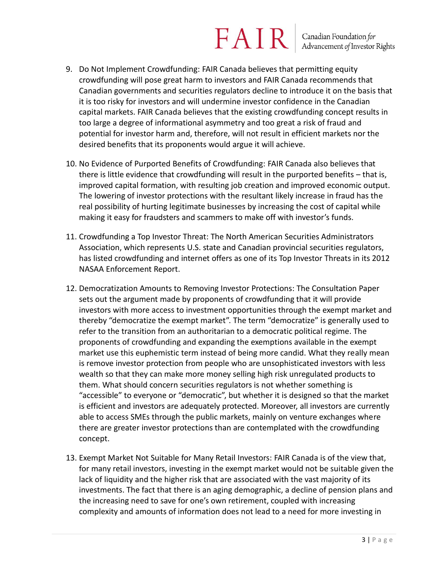## $FAN$  R  $\vert$  Canadian Foundation for Advancement of Investor Rights

- 9. Do Not Implement Crowdfunding: FAIR Canada believes that permitting equity crowdfunding will pose great harm to investors and FAIR Canada recommends that Canadian governments and securities regulators decline to introduce it on the basis that it is too risky for investors and will undermine investor confidence in the Canadian capital markets. FAIR Canada believes that the existing crowdfunding concept results in too large a degree of informational asymmetry and too great a risk of fraud and potential for investor harm and, therefore, will not result in efficient markets nor the desired benefits that its proponents would argue it will achieve.
- 10. No Evidence of Purported Benefits of Crowdfunding: FAIR Canada also believes that there is little evidence that crowdfunding will result in the purported benefits – that is, improved capital formation, with resulting job creation and improved economic output. The lowering of investor protections with the resultant likely increase in fraud has the real possibility of hurting legitimate businesses by increasing the cost of capital while making it easy for fraudsters and scammers to make off with investor's funds.
- 11. Crowdfunding a Top Investor Threat: The North American Securities Administrators Association, which represents U.S. state and Canadian provincial securities regulators, has listed crowdfunding and internet offers as one of its Top Investor Threats in its 2012 NASAA Enforcement Report.
- 12. Democratization Amounts to Removing Investor Protections: The Consultation Paper sets out the argument made by proponents of crowdfunding that it will provide investors with more access to investment opportunities through the exempt market and thereby "democratize the exempt market". The term "democratize" is generally used to refer to the transition from an authoritarian to a democratic political regime. The proponents of crowdfunding and expanding the exemptions available in the exempt market use this euphemistic term instead of being more candid. What they really mean is remove investor protection from people who are unsophisticated investors with less wealth so that they can make more money selling high risk unregulated products to them. What should concern securities regulators is not whether something is "accessible" to everyone or "democratic", but whether it is designed so that the market is efficient and investors are adequately protected. Moreover, all investors are currently able to access SMEs through the public markets, mainly on venture exchanges where there are greater investor protections than are contemplated with the crowdfunding concept.
- 13. Exempt Market Not Suitable for Many Retail Investors: FAIR Canada is of the view that, for many retail investors, investing in the exempt market would not be suitable given the lack of liquidity and the higher risk that are associated with the vast majority of its investments. The fact that there is an aging demographic, a decline of pension plans and the increasing need to save for one's own retirement, coupled with increasing complexity and amounts of information does not lead to a need for more investing in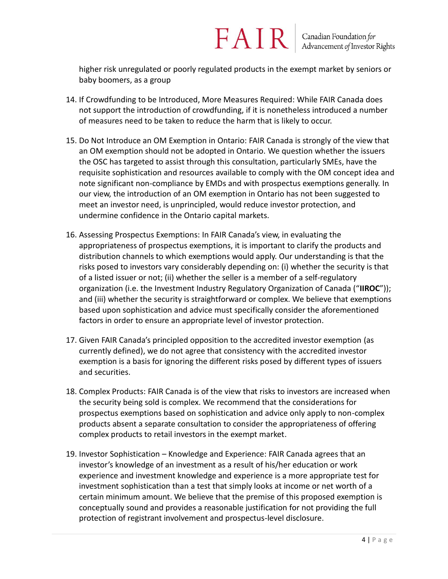higher risk unregulated or poorly regulated products in the exempt market by seniors or baby boomers, as a group

- 14. If Crowdfunding to be Introduced, More Measures Required: While FAIR Canada does not support the introduction of crowdfunding, if it is nonetheless introduced a number of measures need to be taken to reduce the harm that is likely to occur.
- 15. Do Not Introduce an OM Exemption in Ontario: FAIR Canada is strongly of the view that an OM exemption should not be adopted in Ontario. We question whether the issuers the OSC has targeted to assist through this consultation, particularly SMEs, have the requisite sophistication and resources available to comply with the OM concept idea and note significant non-compliance by EMDs and with prospectus exemptions generally. In our view, the introduction of an OM exemption in Ontario has not been suggested to meet an investor need, is unprincipled, would reduce investor protection, and undermine confidence in the Ontario capital markets.
- 16. Assessing Prospectus Exemptions: In FAIR Canada's view, in evaluating the appropriateness of prospectus exemptions, it is important to clarify the products and distribution channels to which exemptions would apply. Our understanding is that the risks posed to investors vary considerably depending on: (i) whether the security is that of a listed issuer or not; (ii) whether the seller is a member of a self-regulatory organization (i.e. the Investment Industry Regulatory Organization of Canada ("**IIROC**")); and (iii) whether the security is straightforward or complex. We believe that exemptions based upon sophistication and advice must specifically consider the aforementioned factors in order to ensure an appropriate level of investor protection.
- 17. Given FAIR Canada's principled opposition to the accredited investor exemption (as currently defined), we do not agree that consistency with the accredited investor exemption is a basis for ignoring the different risks posed by different types of issuers and securities.
- 18. Complex Products: FAIR Canada is of the view that risks to investors are increased when the security being sold is complex. We recommend that the considerations for prospectus exemptions based on sophistication and advice only apply to non-complex products absent a separate consultation to consider the appropriateness of offering complex products to retail investors in the exempt market.
- 19. Investor Sophistication Knowledge and Experience: FAIR Canada agrees that an investor's knowledge of an investment as a result of his/her education or work experience and investment knowledge and experience is a more appropriate test for investment sophistication than a test that simply looks at income or net worth of a certain minimum amount. We believe that the premise of this proposed exemption is conceptually sound and provides a reasonable justification for not providing the full protection of registrant involvement and prospectus-level disclosure.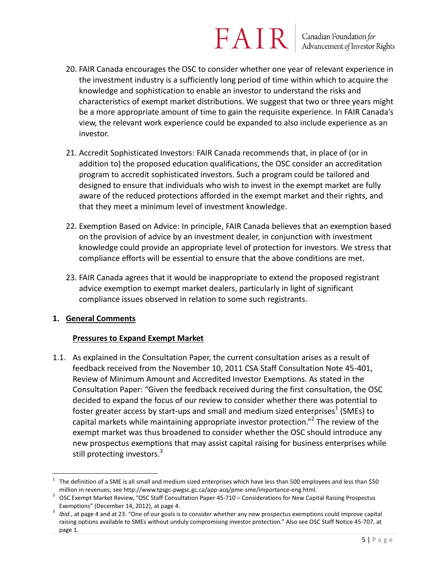- 20. FAIR Canada encourages the OSC to consider whether one year of relevant experience in the investment industry is a sufficiently long period of time within which to acquire the knowledge and sophistication to enable an investor to understand the risks and characteristics of exempt market distributions. We suggest that two or three years might be a more appropriate amount of time to gain the requisite experience. In FAIR Canada's view, the relevant work experience could be expanded to also include experience as an investor.
- 21. Accredit Sophisticated Investors: FAIR Canada recommends that, in place of (or in addition to) the proposed education qualifications, the OSC consider an accreditation program to accredit sophisticated investors. Such a program could be tailored and designed to ensure that individuals who wish to invest in the exempt market are fully aware of the reduced protections afforded in the exempt market and their rights, and that they meet a minimum level of investment knowledge.
- 22. Exemption Based on Advice: In principle, FAIR Canada believes that an exemption based on the provision of advice by an investment dealer, in conjunction with investment knowledge could provide an appropriate level of protection for investors. We stress that compliance efforts will be essential to ensure that the above conditions are met.
- 23. FAIR Canada agrees that it would be inappropriate to extend the proposed registrant advice exemption to exempt market dealers, particularly in light of significant compliance issues observed in relation to some such registrants.

### **1. General Comments**

### **Pressures to Expand Exempt Market**

1.1. As explained in the Consultation Paper, the current consultation arises as a result of feedback received from the November 10, 2011 CSA Staff Consultation Note 45-401, Review of Minimum Amount and Accredited Investor Exemptions. As stated in the Consultation Paper: "Given the feedback received during the first consultation, the OSC decided to expand the focus of our review to consider whether there was potential to foster greater access by start-ups and small and medium sized enterprises<sup>1</sup> (SMEs) to capital markets while maintaining appropriate investor protection."<sup>2</sup> The review of the exempt market was thus broadened to consider whether the OSC should introduce any new prospectus exemptions that may assist capital raising for business enterprises while still protecting investors.<sup>3</sup>

 $\overline{a}$ 1 The definition of a SME is all small and medium sized enterprises which have less than 500 employees and less than \$50 million in revenues; see http://www.tpsgc-pwgsc.gc.ca/app-acq/pme-sme/importance-eng.html.

<sup>&</sup>lt;sup>2</sup> OSC Exempt Market Review, "OSC Staff Consultation Paper 45-710 – Considerations for New Capital Raising Prospectus Exemptions" (December 14, 2012), at page 4.

<sup>3</sup> *Ibid.*, at page 4 and at 23: "One of our goals is to consider whether any new prospectus exemptions could improve capital raising options available to SMEs without unduly compromising investor protection." Also see OSC Staff Notice 45-707, at page 1.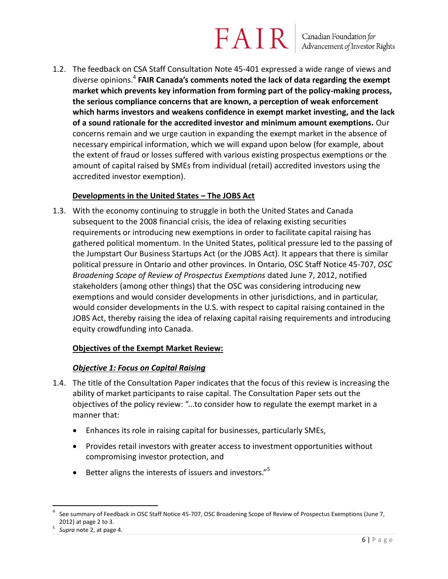1.2. The feedback on CSA Staff Consultation Note 45-401 expressed a wide range of views and diverse opinions.<sup>4</sup> **FAIR Canada's comments noted the lack of data regarding the exempt market which prevents key information from forming part of the policy-making process, the serious compliance concerns that are known, a perception of weak enforcement which harms investors and weakens confidence in exempt market investing, and the lack of a sound rationale for the accredited investor and minimum amount exemptions.** Our concerns remain and we urge caution in expanding the exempt market in the absence of necessary empirical information, which we will expand upon below (for example, about the extent of fraud or losses suffered with various existing prospectus exemptions or the amount of capital raised by SMEs from individual (retail) accredited investors using the accredited investor exemption).

### **Developments in the United States – The JOBS Act**

1.3. With the economy continuing to struggle in both the United States and Canada subsequent to the 2008 financial crisis, the idea of relaxing existing securities requirements or introducing new exemptions in order to facilitate capital raising has gathered political momentum. In the United States, political pressure led to the passing of the Jumpstart Our Business Startups Act (or the JOBS Act). It appears that there is similar political pressure in Ontario and other provinces. In Ontario, OSC Staff Notice 45-707, *OSC Broadening Scope of Review of Prospectus Exemptions* dated June 7, 2012, notified stakeholders (among other things) that the OSC was considering introducing new exemptions and would consider developments in other jurisdictions, and in particular, would consider developments in the U.S. with respect to capital raising contained in the JOBS Act, thereby raising the idea of relaxing capital raising requirements and introducing equity crowdfunding into Canada.

### **Objectives of the Exempt Market Review:**

### *Objective 1: Focus on Capital Raising*

- 1.4. The title of the Consultation Paper indicates that the focus of this review is increasing the ability of market participants to raise capital. The Consultation Paper sets out the objectives of the policy review: "...to consider how to regulate the exempt market in a manner that:
	- Enhances its role in raising capital for businesses, particularly SMEs,
	- Provides retail investors with greater access to investment opportunities without compromising investor protection, and
	- **Better aligns the interests of issuers and investors.**"<sup>5</sup>

 $\overline{a}$ 4 See summary of Feedback in OSC Staff Notice 45-707, OSC Broadening Scope of Review of Prospectus Exemptions (June 7, 2012) at page 2 to 3.

<sup>5</sup> *Supra* note 2, at page 4.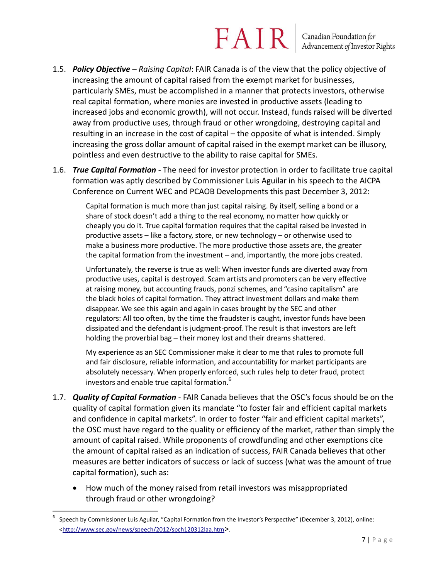### $FAN$  R  $\vert$  Canadian Foundation for Advancement of Investor Rights

- 1.5. *Policy Objective – Raising Capital*: FAIR Canada is of the view that the policy objective of increasing the amount of capital raised from the exempt market for businesses, particularly SMEs, must be accomplished in a manner that protects investors, otherwise real capital formation, where monies are invested in productive assets (leading to increased jobs and economic growth), will not occur. Instead, funds raised will be diverted away from productive uses, through fraud or other wrongdoing, destroying capital and resulting in an increase in the cost of capital – the opposite of what is intended. Simply increasing the gross dollar amount of capital raised in the exempt market can be illusory, pointless and even destructive to the ability to raise capital for SMEs.
- 1.6. *True Capital Formation* The need for investor protection in order to facilitate true capital formation was aptly described by Commissioner Luis Aguilar in his speech to the AICPA Conference on Current WEC and PCAOB Developments this past December 3, 2012:

Capital formation is much more than just capital raising. By itself, selling a bond or a share of stock doesn't add a thing to the real economy, no matter how quickly or cheaply you do it. True capital formation requires that the capital raised be invested in productive assets – like a factory, store, or new technology – or otherwise used to make a business more productive. The more productive those assets are, the greater the capital formation from the investment – and, importantly, the more jobs created.

Unfortunately, the reverse is true as well: When investor funds are diverted away from productive uses, capital is destroyed. Scam artists and promoters can be very effective at raising money, but accounting frauds, ponzi schemes, and "casino capitalism" are the black holes of capital formation. They attract investment dollars and make them disappear. We see this again and again in cases brought by the SEC and other regulators: All too often, by the time the fraudster is caught, investor funds have been dissipated and the defendant is judgment-proof. The result is that investors are left holding the proverbial bag – their money lost and their dreams shattered.

My experience as an SEC Commissioner make it clear to me that rules to promote full and fair disclosure, reliable information, and accountability for market participants are absolutely necessary. When properly enforced, such rules help to deter fraud, protect investors and enable true capital formation.<sup>6</sup>

- 1.7. *Quality of Capital Formation* FAIR Canada believes that the OSC's focus should be on the quality of capital formation given its mandate "to foster fair and efficient capital markets and confidence in capital markets". In order to foster "fair and efficient capital markets", the OSC must have regard to the quality or efficiency of the market, rather than simply the amount of capital raised. While proponents of crowdfunding and other exemptions cite the amount of capital raised as an indication of success, FAIR Canada believes that other measures are better indicators of success or lack of success (what was the amount of true capital formation), such as:
	- How much of the money raised from retail investors was misappropriated through fraud or other wrongdoing?

<sup>6</sup> Speech by Commissioner Luis Aguilar, "Capital Formation from the Investor's Perspective" (December 3, 2012), online: [<http://www.sec.gov/news/speech/2012/spch120312laa.htm](http://www.sec.gov/news/speech/2012/spch120312laa.htm)>.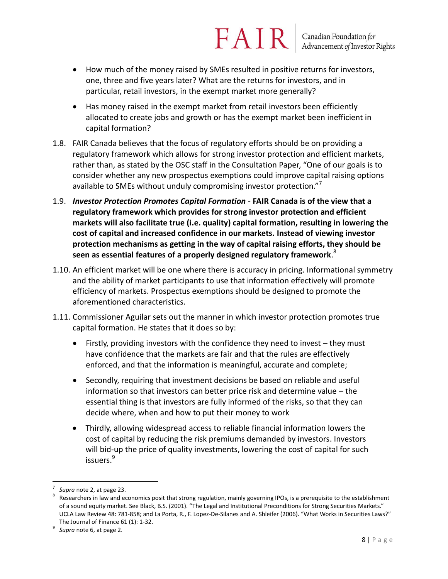- How much of the money raised by SMEs resulted in positive returns for investors, one, three and five years later? What are the returns for investors, and in particular, retail investors, in the exempt market more generally?
- Has money raised in the exempt market from retail investors been efficiently allocated to create jobs and growth or has the exempt market been inefficient in capital formation?
- 1.8. FAIR Canada believes that the focus of regulatory efforts should be on providing a regulatory framework which allows for strong investor protection and efficient markets, rather than, as stated by the OSC staff in the Consultation Paper, "One of our goals is to consider whether any new prospectus exemptions could improve capital raising options available to SMEs without unduly compromising investor protection."<sup>7</sup>
- 1.9. *Investor Protection Promotes Capital Formation* **FAIR Canada is of the view that a regulatory framework which provides for strong investor protection and efficient markets will also facilitate true (i.e. quality) capital formation, resulting in lowering the cost of capital and increased confidence in our markets. Instead of viewing investor protection mechanisms as getting in the way of capital raising efforts, they should be seen as essential features of a properly designed regulatory framework**. 8
- 1.10. An efficient market will be one where there is accuracy in pricing. Informational symmetry and the ability of market participants to use that information effectively will promote efficiency of markets. Prospectus exemptions should be designed to promote the aforementioned characteristics.
- 1.11. Commissioner Aguilar sets out the manner in which investor protection promotes true capital formation. He states that it does so by:
	- Firstly, providing investors with the confidence they need to invest they must have confidence that the markets are fair and that the rules are effectively enforced, and that the information is meaningful, accurate and complete;
	- Secondly, requiring that investment decisions be based on reliable and useful information so that investors can better price risk and determine value – the essential thing is that investors are fully informed of the risks, so that they can decide where, when and how to put their money to work
	- Thirdly, allowing widespread access to reliable financial information lowers the cost of capital by reducing the risk premiums demanded by investors. Investors will bid-up the price of quality investments, lowering the cost of capital for such issuers.<sup>9</sup>

 $\overline{a}$ 7 *Supra* note 2, at page 23.

<sup>8</sup> Researchers in law and economics posit that strong regulation, mainly governing IPOs, is a prerequisite to the establishment of a sound equity market. See Black, B.S. (2001). "The Legal and Institutional Preconditions for Strong Securities Markets." UCLA Law Review 48: 781-858; and La Porta, R., F. Lopez-De-Silanes and A. Shleifer (2006). "What Works in Securities Laws?" The Journal of Finance 61 (1): 1-32.

<sup>9</sup> *Supra* note 6, at page 2.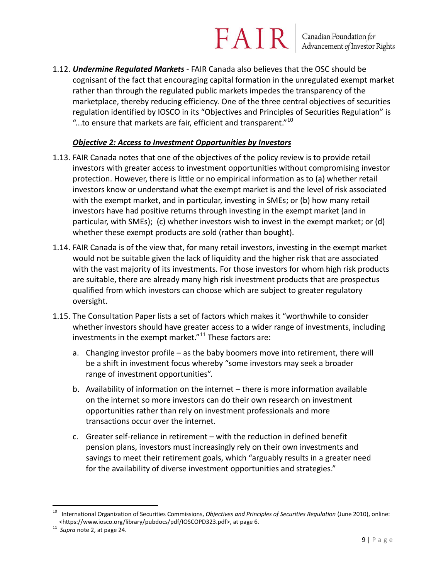### $FAN$  R  $\vert$  Canadian Foundation for Advancement of Investor Rights

1.12. *Undermine Regulated Markets* - FAIR Canada also believes that the OSC should be cognisant of the fact that encouraging capital formation in the unregulated exempt market rather than through the regulated public markets impedes the transparency of the marketplace, thereby reducing efficiency. One of the three central objectives of securities regulation identified by IOSCO in its "Objectives and Principles of Securities Regulation" is "...to ensure that markets are fair, efficient and transparent."<sup>10</sup>

### *Objective 2: Access to Investment Opportunities by Investors*

- 1.13. FAIR Canada notes that one of the objectives of the policy review is to provide retail investors with greater access to investment opportunities without compromising investor protection. However, there is little or no empirical information as to (a) whether retail investors know or understand what the exempt market is and the level of risk associated with the exempt market, and in particular, investing in SMEs; or (b) how many retail investors have had positive returns through investing in the exempt market (and in particular, with SMEs); (c) whether investors wish to invest in the exempt market; or (d) whether these exempt products are sold (rather than bought).
- 1.14. FAIR Canada is of the view that, for many retail investors, investing in the exempt market would not be suitable given the lack of liquidity and the higher risk that are associated with the vast majority of its investments. For those investors for whom high risk products are suitable, there are already many high risk investment products that are prospectus qualified from which investors can choose which are subject to greater regulatory oversight.
- 1.15. The Consultation Paper lists a set of factors which makes it "worthwhile to consider whether investors should have greater access to a wider range of investments, including investments in the exempt market."<sup>11</sup> These factors are:
	- a. Changing investor profile as the baby boomers move into retirement, there will be a shift in investment focus whereby "some investors may seek a broader range of investment opportunities".
	- b. Availability of information on the internet there is more information available on the internet so more investors can do their own research on investment opportunities rather than rely on investment professionals and more transactions occur over the internet.
	- c. Greater self-reliance in retirement with the reduction in defined benefit pension plans, investors must increasingly rely on their own investments and savings to meet their retirement goals, which "arguably results in a greater need for the availability of diverse investment opportunities and strategies."

<sup>10</sup> International Organization of Securities Commissions, *Objectives and Principles of Securities Regulation* (June 2010), online: <https://www.iosco.org/library/pubdocs/pdf/IOSCOPD323.pdf>, at page 6.

<sup>11</sup> *Supra* note 2, at page 24.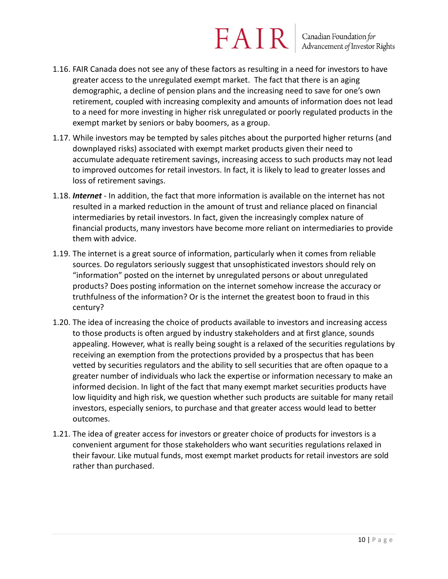- 1.16. FAIR Canada does not see any of these factors as resulting in a need for investors to have greater access to the unregulated exempt market. The fact that there is an aging demographic, a decline of pension plans and the increasing need to save for one's own retirement, coupled with increasing complexity and amounts of information does not lead to a need for more investing in higher risk unregulated or poorly regulated products in the exempt market by seniors or baby boomers, as a group.
- 1.17. While investors may be tempted by sales pitches about the purported higher returns (and downplayed risks) associated with exempt market products given their need to accumulate adequate retirement savings, increasing access to such products may not lead to improved outcomes for retail investors. In fact, it is likely to lead to greater losses and loss of retirement savings.
- 1.18. *Internet* In addition, the fact that more information is available on the internet has not resulted in a marked reduction in the amount of trust and reliance placed on financial intermediaries by retail investors. In fact, given the increasingly complex nature of financial products, many investors have become more reliant on intermediaries to provide them with advice.
- 1.19. The internet is a great source of information, particularly when it comes from reliable sources. Do regulators seriously suggest that unsophisticated investors should rely on "information" posted on the internet by unregulated persons or about unregulated products? Does posting information on the internet somehow increase the accuracy or truthfulness of the information? Or is the internet the greatest boon to fraud in this century?
- 1.20. The idea of increasing the choice of products available to investors and increasing access to those products is often argued by industry stakeholders and at first glance, sounds appealing. However, what is really being sought is a relaxed of the securities regulations by receiving an exemption from the protections provided by a prospectus that has been vetted by securities regulators and the ability to sell securities that are often opaque to a greater number of individuals who lack the expertise or information necessary to make an informed decision. In light of the fact that many exempt market securities products have low liquidity and high risk, we question whether such products are suitable for many retail investors, especially seniors, to purchase and that greater access would lead to better outcomes.
- 1.21. The idea of greater access for investors or greater choice of products for investors is a convenient argument for those stakeholders who want securities regulations relaxed in their favour. Like mutual funds, most exempt market products for retail investors are sold rather than purchased.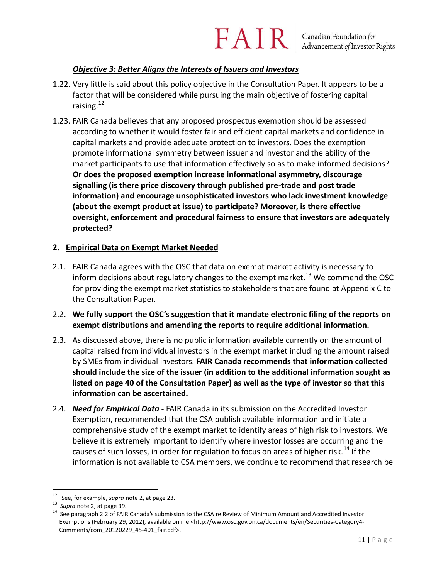### $FAN$  R  $\vert$  Canadian Foundation for Advancement of Investor Rights

### *Objective 3: Better Aligns the Interests of Issuers and Investors*

- 1.22. Very little is said about this policy objective in the Consultation Paper. It appears to be a factor that will be considered while pursuing the main objective of fostering capital raising. $12$
- 1.23. FAIR Canada believes that any proposed prospectus exemption should be assessed according to whether it would foster fair and efficient capital markets and confidence in capital markets and provide adequate protection to investors. Does the exemption promote informational symmetry between issuer and investor and the ability of the market participants to use that information effectively so as to make informed decisions? **Or does the proposed exemption increase informational asymmetry, discourage signalling (is there price discovery through published pre-trade and post trade information) and encourage unsophisticated investors who lack investment knowledge (about the exempt product at issue) to participate? Moreover, is there effective oversight, enforcement and procedural fairness to ensure that investors are adequately protected?**

### **2. Empirical Data on Exempt Market Needed**

- 2.1. FAIR Canada agrees with the OSC that data on exempt market activity is necessary to inform decisions about regulatory changes to the exempt market.<sup>13</sup> We commend the OSC for providing the exempt market statistics to stakeholders that are found at Appendix C to the Consultation Paper.
- 2.2. **We fully support the OSC's suggestion that it mandate electronic filing of the reports on exempt distributions and amending the reports to require additional information.**
- 2.3. As discussed above, there is no public information available currently on the amount of capital raised from individual investors in the exempt market including the amount raised by SMEs from individual investors. **FAIR Canada recommends that information collected should include the size of the issuer (in addition to the additional information sought as listed on page 40 of the Consultation Paper) as well as the type of investor so that this information can be ascertained.**
- 2.4. *Need for Empirical Data* FAIR Canada in its submission on the Accredited Investor Exemption, recommended that the CSA publish available information and initiate a comprehensive study of the exempt market to identify areas of high risk to investors. We believe it is extremely important to identify where investor losses are occurring and the causes of such losses, in order for regulation to focus on areas of higher risk.<sup>14</sup> If the information is not available to CSA members, we continue to recommend that research be

 $\overline{a}$ 12 See, for example, *supra* note 2, at page 23.

<sup>13</sup> *Supra* note 2, at page 39.

<sup>&</sup>lt;sup>14</sup> See paragraph 2.2 of FAIR Canada's submission to the CSA re Review of Minimum Amount and Accredited Investor Exemptions (February 29, 2012), available online <http://www.osc.gov.on.ca/documents/en/Securities-Category4-Comments/com\_20120229\_45-401\_fair.pdf>.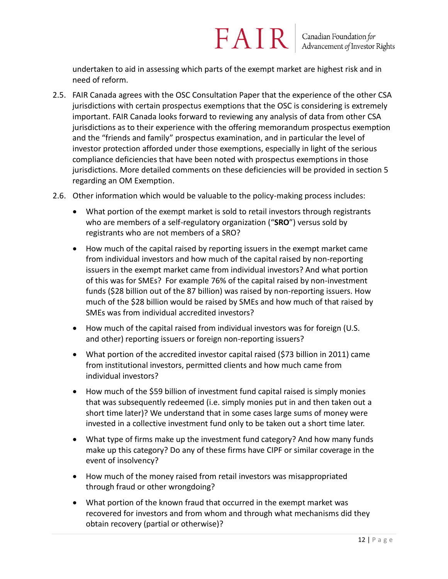undertaken to aid in assessing which parts of the exempt market are highest risk and in need of reform.

- 2.5. FAIR Canada agrees with the OSC Consultation Paper that the experience of the other CSA jurisdictions with certain prospectus exemptions that the OSC is considering is extremely important. FAIR Canada looks forward to reviewing any analysis of data from other CSA jurisdictions as to their experience with the offering memorandum prospectus exemption and the "friends and family" prospectus examination, and in particular the level of investor protection afforded under those exemptions, especially in light of the serious compliance deficiencies that have been noted with prospectus exemptions in those jurisdictions. More detailed comments on these deficiencies will be provided in section 5 regarding an OM Exemption.
- 2.6. Other information which would be valuable to the policy-making process includes:
	- What portion of the exempt market is sold to retail investors through registrants who are members of a self-regulatory organization ("**SRO**") versus sold by registrants who are not members of a SRO?
	- How much of the capital raised by reporting issuers in the exempt market came from individual investors and how much of the capital raised by non-reporting issuers in the exempt market came from individual investors? And what portion of this was for SMEs? For example 76% of the capital raised by non-investment funds (\$28 billion out of the 87 billion) was raised by non-reporting issuers. How much of the \$28 billion would be raised by SMEs and how much of that raised by SMEs was from individual accredited investors?
	- How much of the capital raised from individual investors was for foreign (U.S. and other) reporting issuers or foreign non-reporting issuers?
	- What portion of the accredited investor capital raised (\$73 billion in 2011) came from institutional investors, permitted clients and how much came from individual investors?
	- How much of the \$59 billion of investment fund capital raised is simply monies that was subsequently redeemed (i.e. simply monies put in and then taken out a short time later)? We understand that in some cases large sums of money were invested in a collective investment fund only to be taken out a short time later.
	- What type of firms make up the investment fund category? And how many funds make up this category? Do any of these firms have CIPF or similar coverage in the event of insolvency?
	- How much of the money raised from retail investors was misappropriated through fraud or other wrongdoing?
	- What portion of the known fraud that occurred in the exempt market was recovered for investors and from whom and through what mechanisms did they obtain recovery (partial or otherwise)?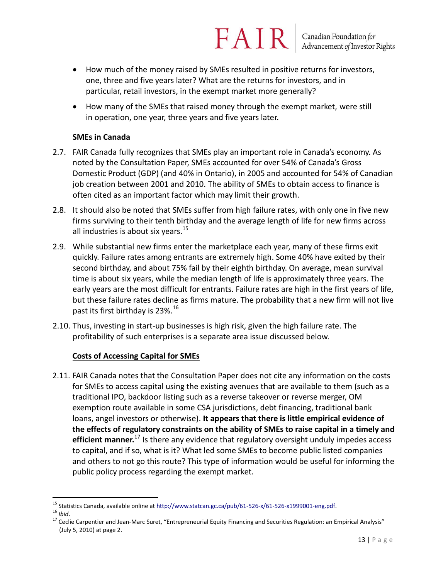How much of the money raised by SMEs resulted in positive returns for investors, one, three and five years later? What are the returns for investors, and in particular, retail investors, in the exempt market more generally?

FAIR

 How many of the SMEs that raised money through the exempt market, were still in operation, one year, three years and five years later.

#### **SMEs in Canada**

- 2.7. FAIR Canada fully recognizes that SMEs play an important role in Canada's economy. As noted by the Consultation Paper, SMEs accounted for over 54% of Canada's Gross Domestic Product (GDP) (and 40% in Ontario), in 2005 and accounted for 54% of Canadian job creation between 2001 and 2010. The ability of SMEs to obtain access to finance is often cited as an important factor which may limit their growth.
- 2.8. It should also be noted that SMEs suffer from high failure rates, with only one in five new firms surviving to their tenth birthday and the average length of life for new firms across all industries is about six years. $15<sup>15</sup>$
- 2.9. While substantial new firms enter the marketplace each year, many of these firms exit quickly. Failure rates among entrants are extremely high. Some 40% have exited by their second birthday, and about 75% fail by their eighth birthday. On average, mean survival time is about six years, while the median length of life is approximately three years. The early years are the most difficult for entrants. Failure rates are high in the first years of life, but these failure rates decline as firms mature. The probability that a new firm will not live past its first birthday is  $23\%$ .<sup>16</sup>
- 2.10. Thus, investing in start-up businesses is high risk, given the high failure rate. The profitability of such enterprises is a separate area issue discussed below.

#### **Costs of Accessing Capital for SMEs**

2.11. FAIR Canada notes that the Consultation Paper does not cite any information on the costs for SMEs to access capital using the existing avenues that are available to them (such as a traditional IPO, backdoor listing such as a reverse takeover or reverse merger, OM exemption route available in some CSA jurisdictions, debt financing, traditional bank loans, angel investors or otherwise). **It appears that there is little empirical evidence of the effects of regulatory constraints on the ability of SMEs to raise capital in a timely and efficient manner.**<sup>17</sup> Is there any evidence that regulatory oversight unduly impedes access to capital, and if so, what is it? What led some SMEs to become public listed companies and others to not go this route? This type of information would be useful for informing the public policy process regarding the exempt market.

<sup>&</sup>lt;sup>15</sup> Statistics Canada, available online at [http://www.statcan.gc.ca/pub/61-526-x/61-526-x1999001-eng.pdf.](http://www.statcan.gc.ca/pub/61-526-x/61-526-x1999001-eng.pdf)

<sup>16</sup> *Ibid*.

<sup>&</sup>lt;sup>17</sup> Ceclie Carpentier and Jean-Marc Suret, "Entrepreneurial Equity Financing and Securities Regulation: an Empirical Analysis" (July 5, 2010) at page 2.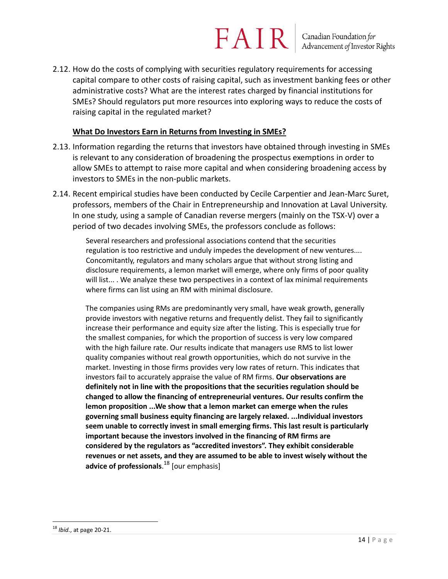## $FAN$  R  $\vert$  Canadian Foundation for

2.12. How do the costs of complying with securities regulatory requirements for accessing capital compare to other costs of raising capital, such as investment banking fees or other administrative costs? What are the interest rates charged by financial institutions for SMEs? Should regulators put more resources into exploring ways to reduce the costs of raising capital in the regulated market?

#### **What Do Investors Earn in Returns from Investing in SMEs?**

- 2.13. Information regarding the returns that investors have obtained through investing in SMEs is relevant to any consideration of broadening the prospectus exemptions in order to allow SMEs to attempt to raise more capital and when considering broadening access by investors to SMEs in the non-public markets.
- 2.14. Recent empirical studies have been conducted by Cecile Carpentier and Jean-Marc Suret, professors, members of the Chair in Entrepreneurship and Innovation at Laval University. In one study, using a sample of Canadian reverse mergers (mainly on the TSX-V) over a period of two decades involving SMEs, the professors conclude as follows:

Several researchers and professional associations contend that the securities regulation is too restrictive and unduly impedes the development of new ventures.... Concomitantly, regulators and many scholars argue that without strong listing and disclosure requirements, a lemon market will emerge, where only firms of poor quality will list... . We analyze these two perspectives in a context of lax minimal requirements where firms can list using an RM with minimal disclosure.

The companies using RMs are predominantly very small, have weak growth, generally provide investors with negative returns and frequently delist. They fail to significantly increase their performance and equity size after the listing. This is especially true for the smallest companies, for which the proportion of success is very low compared with the high failure rate. Our results indicate that managers use RMS to list lower quality companies without real growth opportunities, which do not survive in the market. Investing in those firms provides very low rates of return. This indicates that investors fail to accurately appraise the value of RM firms. **Our observations are definitely not in line with the propositions that the securities regulation should be changed to allow the financing of entrepreneurial ventures. Our results confirm the lemon proposition ...We show that a lemon market can emerge when the rules governing small business equity financing are largely relaxed. ...Individual investors seem unable to correctly invest in small emerging firms. This last result is particularly important because the investors involved in the financing of RM firms are considered by the regulators as "accredited investors". They exhibit considerable revenues or net assets, and they are assumed to be able to invest wisely without the advice of professionals**. <sup>18</sup> [our emphasis]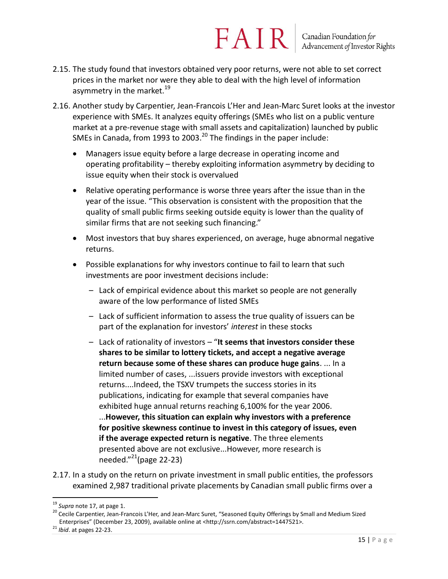- 2.15. The study found that investors obtained very poor returns, were not able to set correct prices in the market nor were they able to deal with the high level of information asymmetry in the market.<sup>19</sup>
- 2.16. Another study by Carpentier, Jean-Francois L'Her and Jean-Marc Suret looks at the investor experience with SMEs. It analyzes equity offerings (SMEs who list on a public venture market at a pre-revenue stage with small assets and capitalization) launched by public SMEs in Canada, from 1993 to 2003.<sup>20</sup> The findings in the paper include:
	- Managers issue equity before a large decrease in operating income and operating profitability – thereby exploiting information asymmetry by deciding to issue equity when their stock is overvalued
	- Relative operating performance is worse three years after the issue than in the year of the issue. "This observation is consistent with the proposition that the quality of small public firms seeking outside equity is lower than the quality of similar firms that are not seeking such financing."
	- Most investors that buy shares experienced, on average, huge abnormal negative returns.
	- Possible explanations for why investors continue to fail to learn that such investments are poor investment decisions include:
		- Lack of empirical evidence about this market so people are not generally aware of the low performance of listed SMEs
		- Lack of sufficient information to assess the true quality of issuers can be part of the explanation for investors' *interest* in these stocks
		- Lack of rationality of investors "**It seems that investors consider these shares to be similar to lottery tickets, and accept a negative average return because some of these shares can produce huge gains**. ... In a limited number of cases, ...issuers provide investors with exceptional returns....Indeed, the TSXV trumpets the success stories in its publications, indicating for example that several companies have exhibited huge annual returns reaching 6,100% for the year 2006. ...**However, this situation can explain why investors with a preference for positive skewness continue to invest in this category of issues, even if the average expected return is negative**. The three elements presented above are not exclusive...However, more research is needed." <sup>21</sup>(page 22-23)
- 2.17. In a study on the return on private investment in small public entities, the professors examined 2,987 traditional private placements by Canadian small public firms over a

<sup>19</sup> *Supra* note 17, at page 1.

<sup>&</sup>lt;sup>20</sup> Cecile Carpentier, Jean-Francois L'Her, and Jean-Marc Suret, "Seasoned Equity Offerings by Small and Medium Sized Enterprises" (December 23, 2009), available online at <http://ssrn.com/abstract=1447521>.

<sup>21</sup> *Ibid*. at pages 22-23.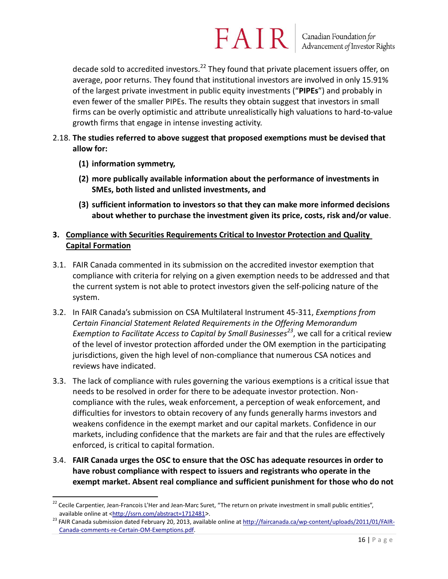### $FAN$  R  $\vert$  Canadian Foundation for

decade sold to accredited investors.<sup>22</sup> They found that private placement issuers offer, on average, poor returns. They found that institutional investors are involved in only 15.91% of the largest private investment in public equity investments ("**PIPEs**") and probably in even fewer of the smaller PIPEs. The results they obtain suggest that investors in small firms can be overly optimistic and attribute unrealistically high valuations to hard-to-value growth firms that engage in intense investing activity.

#### 2.18. **The studies referred to above suggest that proposed exemptions must be devised that allow for:**

- **(1) information symmetry,**
- **(2) more publically available information about the performance of investments in SMEs, both listed and unlisted investments, and**
- **(3) sufficient information to investors so that they can make more informed decisions about whether to purchase the investment given its price, costs, risk and/or value**.

### **3. Compliance with Securities Requirements Critical to Investor Protection and Quality Capital Formation**

- 3.1. FAIR Canada commented in its submission on the accredited investor exemption that compliance with criteria for relying on a given exemption needs to be addressed and that the current system is not able to protect investors given the self-policing nature of the system.
- 3.2. In FAIR Canada's submission on CSA Multilateral Instrument 45-311, *Exemptions from Certain Financial Statement Related Requirements in the Offering Memorandum Exemption to Facilitate Access to Capital by Small Businesses<sup>23</sup>* , we call for a critical review of the level of investor protection afforded under the OM exemption in the participating jurisdictions, given the high level of non-compliance that numerous CSA notices and reviews have indicated.
- 3.3. The lack of compliance with rules governing the various exemptions is a critical issue that needs to be resolved in order for there to be adequate investor protection. Noncompliance with the rules, weak enforcement, a perception of weak enforcement, and difficulties for investors to obtain recovery of any funds generally harms investors and weakens confidence in the exempt market and our capital markets. Confidence in our markets, including confidence that the markets are fair and that the rules are effectively enforced, is critical to capital formation.
- 3.4. **FAIR Canada urges the OSC to ensure that the OSC has adequate resources in order to have robust compliance with respect to issuers and registrants who operate in the exempt market. Absent real compliance and sufficient punishment for those who do not**

 $\overline{a}$ <sup>22</sup> Cecile Carpentier, Jean-Francois L'Her and Jean-Marc Suret, "The return on private investment in small public entities", available online at [<http://ssrn.com/abstract=1712481](http://ssrn.com/abstract=1712481)>.

<sup>&</sup>lt;sup>23</sup> FAIR Canada submission dated February 20, 2013, available online a[t http://faircanada.ca/wp-content/uploads/2011/01/FAIR-](http://faircanada.ca/wp-content/uploads/2011/01/FAIR-Canada-comments-re-Certain-OM-Exemptions.pdf)[Canada-comments-re-Certain-OM-Exemptions.pdf.](http://faircanada.ca/wp-content/uploads/2011/01/FAIR-Canada-comments-re-Certain-OM-Exemptions.pdf)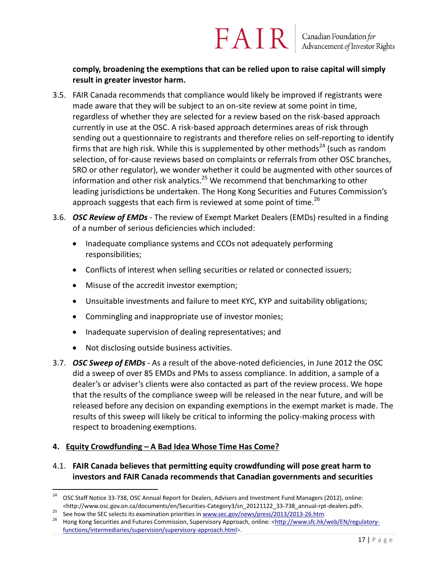#### **comply, broadening the exemptions that can be relied upon to raise capital will simply result in greater investor harm.**

FAIR

- 3.5. FAIR Canada recommends that compliance would likely be improved if registrants were made aware that they will be subject to an on-site review at some point in time, regardless of whether they are selected for a review based on the risk-based approach currently in use at the OSC. A risk-based approach determines areas of risk through sending out a questionnaire to registrants and therefore relies on self-reporting to identify firms that are high risk. While this is supplemented by other methods<sup>24</sup> (such as random selection, of for-cause reviews based on complaints or referrals from other OSC branches, SRO or other regulator), we wonder whether it could be augmented with other sources of information and other risk analytics.<sup>25</sup> We recommend that benchmarking to other leading jurisdictions be undertaken. The Hong Kong Securities and Futures Commission's approach suggests that each firm is reviewed at some point of time.<sup>26</sup>
- 3.6. *OSC Review of EMDs* The review of Exempt Market Dealers (EMDs) resulted in a finding of a number of serious deficiencies which included:
	- Inadequate compliance systems and CCOs not adequately performing responsibilities;
	- Conflicts of interest when selling securities or related or connected issuers;
	- Misuse of the accredit investor exemption;
	- Unsuitable investments and failure to meet KYC, KYP and suitability obligations;
	- Commingling and inappropriate use of investor monies;
	- Inadequate supervision of dealing representatives; and
	- Not disclosing outside business activities.
- 3.7. *OSC Sweep of EMDs -* As a result of the above-noted deficiencies, in June 2012 the OSC did a sweep of over 85 EMDs and PMs to assess compliance. In addition, a sample of a dealer's or adviser's clients were also contacted as part of the review process. We hope that the results of the compliance sweep will be released in the near future, and will be released before any decision on expanding exemptions in the exempt market is made. The results of this sweep will likely be critical to informing the policy-making process with respect to broadening exemptions.

#### **4. Equity Crowdfunding – A Bad Idea Whose Time Has Come?**

### 4.1. **FAIR Canada believes that permitting equity crowdfunding will pose great harm to investors and FAIR Canada recommends that Canadian governments and securities**

<sup>24</sup> <sup>24</sup> OSC Staff Notice 33-738, OSC Annual Report for Dealers, Advisers and Investment Fund Managers (2012), online: <http://www.osc.gov.on.ca/documents/en/Securities-Category3/sn\_20121122\_33-738\_annual-rpt-dealers.pdf>.

<sup>25</sup> See how the SEC selects its examination priorities i[n www.sec.gov/news/press/2013/2013-26.htm.](http://www.sec.gov/news/press/2013/2013-26.htm)

<sup>26</sup> Hong Kong Securities and Futures Commission, Supervisory Approach, online: [<http://www.sfc.hk/web/EN/regulatory](http://www.sfc.hk/web/EN/regulatory-functions/intermediaries/supervision/supervisory-approach.html)[functions/intermediaries/supervision/supervisory-approach.html>](http://www.sfc.hk/web/EN/regulatory-functions/intermediaries/supervision/supervisory-approach.html).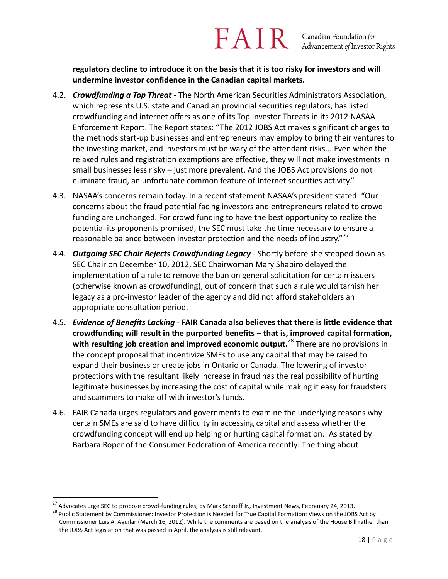**regulators decline to introduce it on the basis that it is too risky for investors and will undermine investor confidence in the Canadian capital markets.** 

- 4.2. *Crowdfunding a Top Threat* The North American Securities Administrators Association, which represents U.S. state and Canadian provincial securities regulators, has listed crowdfunding and internet offers as one of its Top Investor Threats in its 2012 NASAA Enforcement Report. The Report states: "The 2012 JOBS Act makes significant changes to the methods start-up businesses and entrepreneurs may employ to bring their ventures to the investing market, and investors must be wary of the attendant risks....Even when the relaxed rules and registration exemptions are effective, they will not make investments in small businesses less risky – just more prevalent. And the JOBS Act provisions do not eliminate fraud, an unfortunate common feature of Internet securities activity."
- 4.3. NASAA's concerns remain today. In a recent statement NASAA's president stated: "Our concerns about the fraud potential facing investors and entrepreneurs related to crowd funding are unchanged. For crowd funding to have the best opportunity to realize the potential its proponents promised, the SEC must take the time necessary to ensure a reasonable balance between investor protection and the needs of industry."<sup>27</sup>
- 4.4. *Outgoing SEC Chair Rejects Crowdfunding Legacy*  Shortly before she stepped down as SEC Chair on December 10, 2012, SEC Chairwoman Mary Shapiro delayed the implementation of a rule to remove the ban on general solicitation for certain issuers (otherwise known as crowdfunding), out of concern that such a rule would tarnish her legacy as a pro-investor leader of the agency and did not afford stakeholders an appropriate consultation period.
- 4.5. *Evidence of Benefits Lacking* **FAIR Canada also believes that there is little evidence that crowdfunding will result in the purported benefits – that is, improved capital formation, with resulting job creation and improved economic output.**<sup>28</sup> There are no provisions in the concept proposal that incentivize SMEs to use any capital that may be raised to expand their business or create jobs in Ontario or Canada. The lowering of investor protections with the resultant likely increase in fraud has the real possibility of hurting legitimate businesses by increasing the cost of capital while making it easy for fraudsters and scammers to make off with investor's funds.
- 4.6. FAIR Canada urges regulators and governments to examine the underlying reasons why certain SMEs are said to have difficulty in accessing capital and assess whether the crowdfunding concept will end up helping or hurting capital formation. As stated by Barbara Roper of the Consumer Federation of America recently: The thing about

<sup>&</sup>lt;sup>27</sup> Advocates urge SEC to propose crowd-funding rules, by Mark Schoeff Jr., Investment News, Febrauary 24, 2013.

<sup>&</sup>lt;sup>28</sup> Public Statement by Commissioner: Investor Protection is Needed for True Capital Formation: Views on the JOBS Act by Commissioner Luis A. Aguilar (March 16, 2012). While the comments are based on the analysis of the House Bill rather than the JOBS Act legislation that was passed in April, the analysis is still relevant.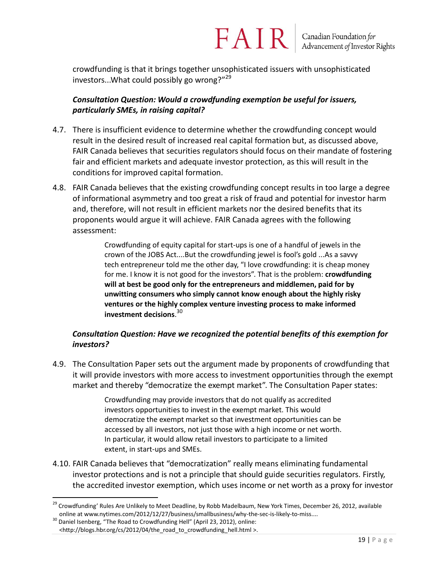crowdfunding is that it brings together unsophisticated issuers with unsophisticated investors...What could possibly go wrong?"<sup>29</sup>

### *Consultation Question: Would a crowdfunding exemption be useful for issuers, particularly SMEs, in raising capital?*

- 4.7. There is insufficient evidence to determine whether the crowdfunding concept would result in the desired result of increased real capital formation but, as discussed above, FAIR Canada believes that securities regulators should focus on their mandate of fostering fair and efficient markets and adequate investor protection, as this will result in the conditions for improved capital formation.
- 4.8. FAIR Canada believes that the existing crowdfunding concept results in too large a degree of informational asymmetry and too great a risk of fraud and potential for investor harm and, therefore, will not result in efficient markets nor the desired benefits that its proponents would argue it will achieve. FAIR Canada agrees with the following assessment:

Crowdfunding of equity capital for start-ups is one of a handful of jewels in the crown of the JOBS Act....But the crowdfunding jewel is fool's gold ...As a savvy tech entrepreneur told me the other day, "I love crowdfunding: it is cheap money for me. I know it is not good for the investors". That is the problem: **crowdfunding will at best be good only for the entrepreneurs and middlemen, paid for by unwitting consumers who simply cannot know enough about the highly risky ventures or the highly complex venture investing process to make informed investment decisions**. 30

### *Consultation Question: Have we recognized the potential benefits of this exemption for investors?*

4.9. The Consultation Paper sets out the argument made by proponents of crowdfunding that it will provide investors with more access to investment opportunities through the exempt market and thereby "democratize the exempt market". The Consultation Paper states:

> Crowdfunding may provide investors that do not qualify as accredited investors opportunities to invest in the exempt market. This would democratize the exempt market so that investment opportunities can be accessed by all investors, not just those with a high income or net worth. In particular, it would allow retail investors to participate to a limited extent, in start-ups and SMEs.

4.10. FAIR Canada believes that "democratization" really means eliminating fundamental investor protections and is not a principle that should guide securities regulators. Firstly, the accredited investor exemption, which uses income or net worth as a proxy for investor

<sup>&</sup>lt;sup>29</sup> Crowdfunding' Rules Are Unlikely to Meet Deadline, by Robb Madelbaum, New York Times, December 26, 2012, available online at www.nytimes.com/2012/12/27/business/smallbusiness/why-the-sec-is-likely-to-miss....

 $30$  Daniel Isenberg, "The Road to Crowdfunding Hell" (April 23, 2012), online: <http://blogs.hbr.org/cs/2012/04/the\_road\_to\_crowdfunding\_hell.html >.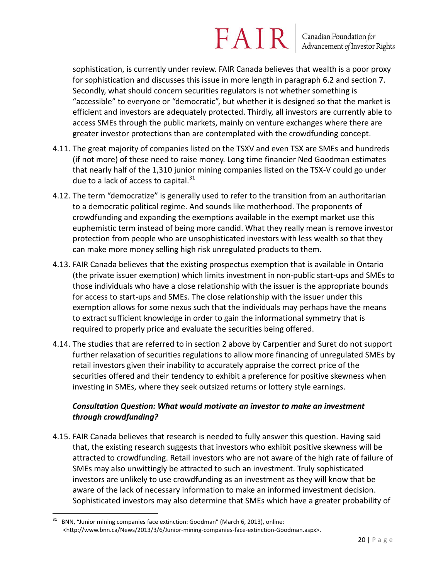sophistication, is currently under review. FAIR Canada believes that wealth is a poor proxy for sophistication and discusses this issue in more length in paragraph 6.2 and section 7. Secondly, what should concern securities regulators is not whether something is "accessible" to everyone or "democratic", but whether it is designed so that the market is efficient and investors are adequately protected. Thirdly, all investors are currently able to access SMEs through the public markets, mainly on venture exchanges where there are greater investor protections than are contemplated with the crowdfunding concept.

- 4.11. The great majority of companies listed on the TSXV and even TSX are SMEs and hundreds (if not more) of these need to raise money. Long time financier Ned Goodman estimates that nearly half of the 1,310 junior mining companies listed on the TSX-V could go under due to a lack of access to capital. $31$
- 4.12. The term "democratize" is generally used to refer to the transition from an authoritarian to a democratic political regime. And sounds like motherhood. The proponents of crowdfunding and expanding the exemptions available in the exempt market use this euphemistic term instead of being more candid. What they really mean is remove investor protection from people who are unsophisticated investors with less wealth so that they can make more money selling high risk unregulated products to them.
- 4.13. FAIR Canada believes that the existing prospectus exemption that is available in Ontario (the private issuer exemption) which limits investment in non-public start-ups and SMEs to those individuals who have a close relationship with the issuer is the appropriate bounds for access to start-ups and SMEs. The close relationship with the issuer under this exemption allows for some nexus such that the individuals may perhaps have the means to extract sufficient knowledge in order to gain the informational symmetry that is required to properly price and evaluate the securities being offered.
- 4.14. The studies that are referred to in section 2 above by Carpentier and Suret do not support further relaxation of securities regulations to allow more financing of unregulated SMEs by retail investors given their inability to accurately appraise the correct price of the securities offered and their tendency to exhibit a preference for positive skewness when investing in SMEs, where they seek outsized returns or lottery style earnings.

### *Consultation Question: What would motivate an investor to make an investment through crowdfunding?*

4.15. FAIR Canada believes that research is needed to fully answer this question. Having said that, the existing research suggests that investors who exhibit positive skewness will be attracted to crowdfunding. Retail investors who are not aware of the high rate of failure of SMEs may also unwittingly be attracted to such an investment. Truly sophisticated investors are unlikely to use crowdfunding as an investment as they will know that be aware of the lack of necessary information to make an informed investment decision. Sophisticated investors may also determine that SMEs which have a greater probability of

<sup>31</sup> BNN, "Junior mining companies face extinction: Goodman" (March 6, 2013), online: <http://www.bnn.ca/News/2013/3/6/Junior-mining-companies-face-extinction-Goodman.aspx>.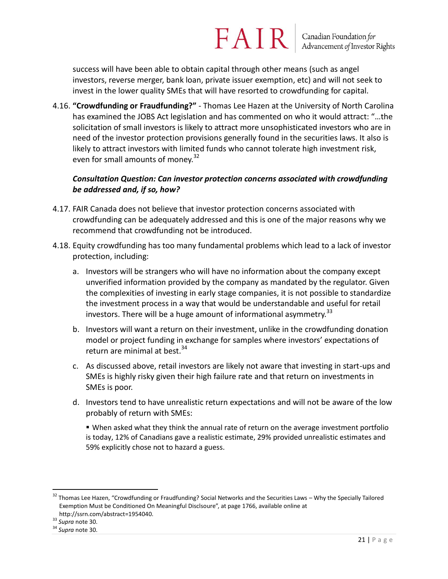success will have been able to obtain capital through other means (such as angel investors, reverse merger, bank loan, private issuer exemption, etc) and will not seek to invest in the lower quality SMEs that will have resorted to crowdfunding for capital.

FAIR

4.16. **"Crowdfunding or Fraudfunding?"** - Thomas Lee Hazen at the University of North Carolina has examined the JOBS Act legislation and has commented on who it would attract: "…the solicitation of small investors is likely to attract more unsophisticated investors who are in need of the investor protection provisions generally found in the securities laws. It also is likely to attract investors with limited funds who cannot tolerate high investment risk, even for small amounts of money.<sup>32</sup>

### *Consultation Question: Can investor protection concerns associated with crowdfunding be addressed and, if so, how?*

- 4.17. FAIR Canada does not believe that investor protection concerns associated with crowdfunding can be adequately addressed and this is one of the major reasons why we recommend that crowdfunding not be introduced.
- 4.18. Equity crowdfunding has too many fundamental problems which lead to a lack of investor protection, including:
	- a. Investors will be strangers who will have no information about the company except unverified information provided by the company as mandated by the regulator. Given the complexities of investing in early stage companies, it is not possible to standardize the investment process in a way that would be understandable and useful for retail investors. There will be a huge amount of informational asymmetry.  $33$
	- b. Investors will want a return on their investment, unlike in the crowdfunding donation model or project funding in exchange for samples where investors' expectations of return are minimal at best. $34$
	- c. As discussed above, retail investors are likely not aware that investing in start-ups and SMEs is highly risky given their high failure rate and that return on investments in SMEs is poor.
	- d. Investors tend to have unrealistic return expectations and will not be aware of the low probably of return with SMEs:

 When asked what they think the annual rate of return on the average investment portfolio is today, 12% of Canadians gave a realistic estimate, 29% provided unrealistic estimates and 59% explicitly chose not to hazard a guess.

 $\overline{a}$ <sup>32</sup> Thomas Lee Hazen, "Crowdfunding or Fraudfunding? Social Networks and the Securities Laws – Why the Specially Tailored Exemption Must be Conditioned On Meaningful Disclsoure", at page 1766, available online at http://ssrn.com/abstract=1954040.

<sup>33</sup> *Supra* note 30.

<sup>34</sup> *Supra* note 30.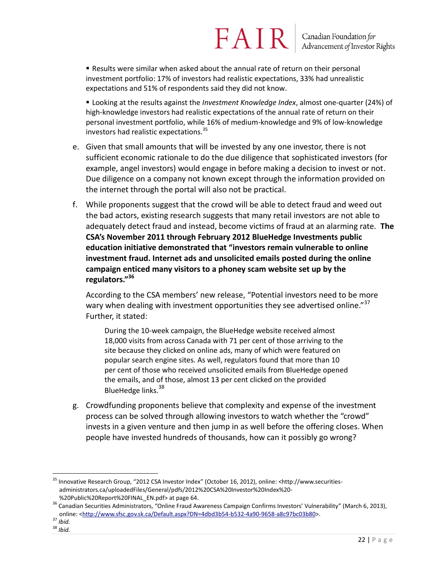Results were similar when asked about the annual rate of return on their personal investment portfolio: 17% of investors had realistic expectations, 33% had unrealistic expectations and 51% of respondents said they did not know.

 Looking at the results against the *Investment Knowledge Index*, almost one-quarter (24%) of high-knowledge investors had realistic expectations of the annual rate of return on their personal investment portfolio, while 16% of medium-knowledge and 9% of low-knowledge investors had realistic expectations.<sup>35</sup>

- e. Given that small amounts that will be invested by any one investor, there is not sufficient economic rationale to do the due diligence that sophisticated investors (for example, angel investors) would engage in before making a decision to invest or not. Due diligence on a company not known except through the information provided on the internet through the portal will also not be practical.
- f. While proponents suggest that the crowd will be able to detect fraud and weed out the bad actors, existing research suggests that many retail investors are not able to adequately detect fraud and instead, become victims of fraud at an alarming rate. **The CSA's November 2011 through February 2012 BlueHedge Investments public education initiative demonstrated that "investors remain vulnerable to online investment fraud. Internet ads and unsolicited emails posted during the online campaign enticed many visitors to a phoney scam website set up by the regulators."<sup>36</sup>**

According to the CSA members' new release, "Potential investors need to be more wary when dealing with investment opportunities they see advertised online."<sup>37</sup> Further, it stated:

During the 10-week campaign, the BlueHedge website received almost 18,000 visits from across Canada with 71 per cent of those arriving to the site because they clicked on online ads, many of which were featured on popular search engine sites. As well, regulators found that more than 10 per cent of those who received unsolicited emails from BlueHedge opened the emails, and of those, almost 13 per cent clicked on the provided BlueHedge links.<sup>38</sup>

g. Crowdfunding proponents believe that complexity and expense of the investment process can be solved through allowing investors to watch whether the "crowd" invests in a given venture and then jump in as well before the offering closes. When people have invested hundreds of thousands, how can it possibly go wrong?

<sup>&</sup>lt;sup>35</sup> Innovative Research Group, "2012 CSA Investor Index" (October 16, 2012), online: <http://www.securitiesadministrators.ca/uploadedFiles/General/pdfs/2012%20CSA%20Investor%20Index%20- %20Public%20Report%20FINAL\_EN.pdf> at page 64.

<sup>&</sup>lt;sup>36</sup> Canadian Securities Administrators, "Online Fraud Awareness Campaign Confirms Investors' Vulnerability" (March 6, 2013), online: [<http://www.sfsc.gov.sk.ca/Default.aspx?DN=4dbd3b54-b532-4a90-9658-a8c97bc03b80>](http://www.sfsc.gov.sk.ca/Default.aspx?DN=4dbd3b54-b532-4a90-9658-a8c97bc03b80).

<sup>37</sup> *Ibid.*

<sup>38</sup> *Ibid.*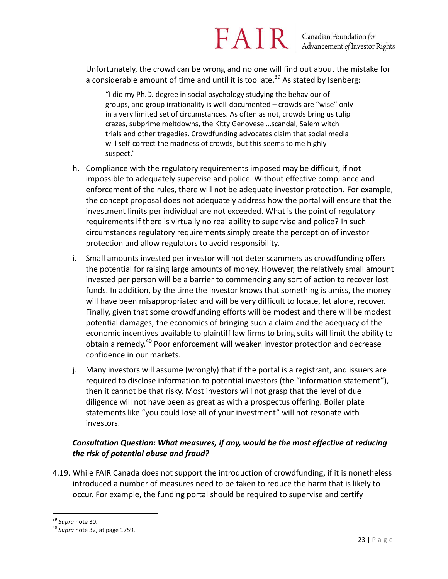Unfortunately, the crowd can be wrong and no one will find out about the mistake for a considerable amount of time and until it is too late.<sup>39</sup> As stated by Isenberg:

"I did my Ph.D. degree in social psychology studying the behaviour of groups, and group irrationality is well-documented – crowds are "wise" only in a very limited set of circumstances. As often as not, crowds bring us tulip crazes, subprime meltdowns, the Kitty Genovese …scandal, Salem witch trials and other tragedies. Crowdfunding advocates claim that social media will self-correct the madness of crowds, but this seems to me highly suspect."

- h. Compliance with the regulatory requirements imposed may be difficult, if not impossible to adequately supervise and police. Without effective compliance and enforcement of the rules, there will not be adequate investor protection. For example, the concept proposal does not adequately address how the portal will ensure that the investment limits per individual are not exceeded. What is the point of regulatory requirements if there is virtually no real ability to supervise and police? In such circumstances regulatory requirements simply create the perception of investor protection and allow regulators to avoid responsibility.
- i. Small amounts invested per investor will not deter scammers as crowdfunding offers the potential for raising large amounts of money. However, the relatively small amount invested per person will be a barrier to commencing any sort of action to recover lost funds. In addition, by the time the investor knows that something is amiss, the money will have been misappropriated and will be very difficult to locate, let alone, recover. Finally, given that some crowdfunding efforts will be modest and there will be modest potential damages, the economics of bringing such a claim and the adequacy of the economic incentives available to plaintiff law firms to bring suits will limit the ability to obtain a remedy.<sup>40</sup> Poor enforcement will weaken investor protection and decrease confidence in our markets.
- j. Many investors will assume (wrongly) that if the portal is a registrant, and issuers are required to disclose information to potential investors (the "information statement"), then it cannot be that risky. Most investors will not grasp that the level of due diligence will not have been as great as with a prospectus offering. Boiler plate statements like "you could lose all of your investment" will not resonate with investors.

### *Consultation Question: What measures, if any, would be the most effective at reducing the risk of potential abuse and fraud?*

4.19. While FAIR Canada does not support the introduction of crowdfunding, if it is nonetheless introduced a number of measures need to be taken to reduce the harm that is likely to occur. For example, the funding portal should be required to supervise and certify

 $\overline{a}$ <sup>39</sup> *Supra* note 30.

<sup>40</sup> *Supra* note 32, at page 1759.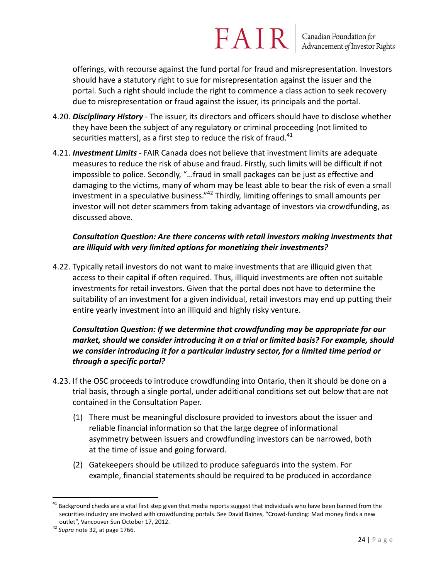offerings, with recourse against the fund portal for fraud and misrepresentation. Investors should have a statutory right to sue for misrepresentation against the issuer and the portal. Such a right should include the right to commence a class action to seek recovery due to misrepresentation or fraud against the issuer, its principals and the portal.

- 4.20. *Disciplinary History* The issuer, its directors and officers should have to disclose whether they have been the subject of any regulatory or criminal proceeding (not limited to securities matters), as a first step to reduce the risk of fraud. $41$
- 4.21. *Investment Limits* FAIR Canada does not believe that investment limits are adequate measures to reduce the risk of abuse and fraud. Firstly, such limits will be difficult if not impossible to police. Secondly, "…fraud in small packages can be just as effective and damaging to the victims, many of whom may be least able to bear the risk of even a small investment in a speculative business."<sup>42</sup> Thirdly, limiting offerings to small amounts per investor will not deter scammers from taking advantage of investors via crowdfunding, as discussed above.

### *Consultation Question: Are there concerns with retail investors making investments that are illiquid with very limited options for monetizing their investments?*

4.22. Typically retail investors do not want to make investments that are illiquid given that access to their capital if often required. Thus, illiquid investments are often not suitable investments for retail investors. Given that the portal does not have to determine the suitability of an investment for a given individual, retail investors may end up putting their entire yearly investment into an illiquid and highly risky venture.

### *Consultation Question: If we determine that crowdfunding may be appropriate for our market, should we consider introducing it on a trial or limited basis? For example, should we consider introducing it for a particular industry sector, for a limited time period or through a specific portal?*

- 4.23. If the OSC proceeds to introduce crowdfunding into Ontario, then it should be done on a trial basis, through a single portal, under additional conditions set out below that are not contained in the Consultation Paper.
	- (1) There must be meaningful disclosure provided to investors about the issuer and reliable financial information so that the large degree of informational asymmetry between issuers and crowdfunding investors can be narrowed, both at the time of issue and going forward.
	- (2) Gatekeepers should be utilized to produce safeguards into the system. For example, financial statements should be required to be produced in accordance

<sup>&</sup>lt;sup>41</sup> Background checks are a vital first step given that media reports suggest that individuals who have been banned from the securities industry are involved with crowdfunding portals. See David Baines, "Crowd-funding: Mad money finds a new outlet", Vancouver Sun October 17, 2012.

<sup>42</sup> *Supra* note 32, at page 1766.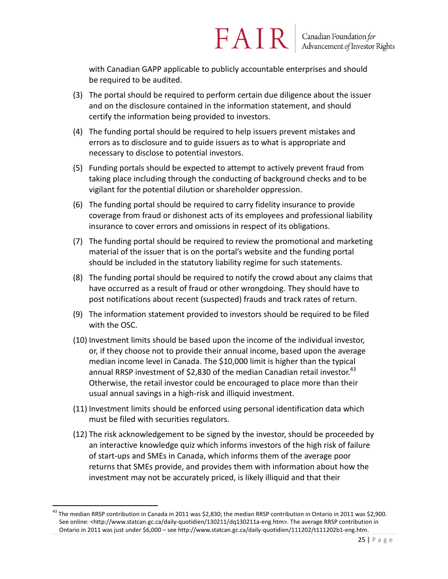with Canadian GAPP applicable to publicly accountable enterprises and should be required to be audited.

FAIR

- (3) The portal should be required to perform certain due diligence about the issuer and on the disclosure contained in the information statement, and should certify the information being provided to investors.
- (4) The funding portal should be required to help issuers prevent mistakes and errors as to disclosure and to guide issuers as to what is appropriate and necessary to disclose to potential investors.
- (5) Funding portals should be expected to attempt to actively prevent fraud from taking place including through the conducting of background checks and to be vigilant for the potential dilution or shareholder oppression.
- (6) The funding portal should be required to carry fidelity insurance to provide coverage from fraud or dishonest acts of its employees and professional liability insurance to cover errors and omissions in respect of its obligations.
- (7) The funding portal should be required to review the promotional and marketing material of the issuer that is on the portal's website and the funding portal should be included in the statutory liability regime for such statements.
- (8) The funding portal should be required to notify the crowd about any claims that have occurred as a result of fraud or other wrongdoing. They should have to post notifications about recent (suspected) frauds and track rates of return.
- (9) The information statement provided to investors should be required to be filed with the OSC.
- (10) Investment limits should be based upon the income of the individual investor, or, if they choose not to provide their annual income, based upon the average median income level in Canada. The \$10,000 limit is higher than the typical annual RRSP investment of \$2,830 of the median Canadian retail investor.<sup>43</sup> Otherwise, the retail investor could be encouraged to place more than their usual annual savings in a high-risk and illiquid investment.
- (11) Investment limits should be enforced using personal identification data which must be filed with securities regulators.
- (12) The risk acknowledgement to be signed by the investor, should be proceeded by an interactive knowledge quiz which informs investors of the high risk of failure of start-ups and SMEs in Canada, which informs them of the average poor returns that SMEs provide, and provides them with information about how the investment may not be accurately priced, is likely illiquid and that their

<sup>&</sup>lt;sup>43</sup> The median RRSP contribution in Canada in 2011 was \$2,830; the median RRSP contribution in Ontario in 2011 was \$2,900. See online: <http://www.statcan.gc.ca/daily-quotidien/130211/dq130211a-eng.htm>. The average RRSP contribution in Ontario in 2011 was just under \$6,000 – see http://www.statcan.gc.ca/daily-quotidien/111202/t111202b1-eng.htm.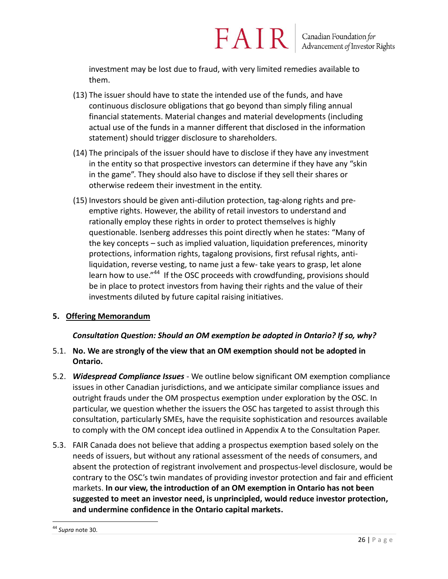investment may be lost due to fraud, with very limited remedies available to them.

FAIR

- (13) The issuer should have to state the intended use of the funds, and have continuous disclosure obligations that go beyond than simply filing annual financial statements. Material changes and material developments (including actual use of the funds in a manner different that disclosed in the information statement) should trigger disclosure to shareholders.
- (14) The principals of the issuer should have to disclose if they have any investment in the entity so that prospective investors can determine if they have any "skin in the game". They should also have to disclose if they sell their shares or otherwise redeem their investment in the entity.
- (15) Investors should be given anti-dilution protection, tag-along rights and preemptive rights. However, the ability of retail investors to understand and rationally employ these rights in order to protect themselves is highly questionable. Isenberg addresses this point directly when he states: "Many of the key concepts – such as implied valuation, liquidation preferences, minority protections, information rights, tagalong provisions, first refusal rights, antiliquidation, reverse vesting, to name just a few- take years to grasp, let alone learn how to use."<sup>44</sup> If the OSC proceeds with crowdfunding, provisions should be in place to protect investors from having their rights and the value of their investments diluted by future capital raising initiatives.

#### **5. Offering Memorandum**

#### *Consultation Question: Should an OM exemption be adopted in Ontario? If so, why?*

- 5.1. **No. We are strongly of the view that an OM exemption should not be adopted in Ontario.**
- 5.2. *Widespread Compliance Issues* We outline below significant OM exemption compliance issues in other Canadian jurisdictions, and we anticipate similar compliance issues and outright frauds under the OM prospectus exemption under exploration by the OSC. In particular, we question whether the issuers the OSC has targeted to assist through this consultation, particularly SMEs, have the requisite sophistication and resources available to comply with the OM concept idea outlined in Appendix A to the Consultation Paper.
- 5.3. FAIR Canada does not believe that adding a prospectus exemption based solely on the needs of issuers, but without any rational assessment of the needs of consumers, and absent the protection of registrant involvement and prospectus-level disclosure, would be contrary to the OSC's twin mandates of providing investor protection and fair and efficient markets. **In our view, the introduction of an OM exemption in Ontario has not been suggested to meet an investor need, is unprincipled, would reduce investor protection, and undermine confidence in the Ontario capital markets.**

 $\overline{a}$ <sup>44</sup> *Supra* note 30.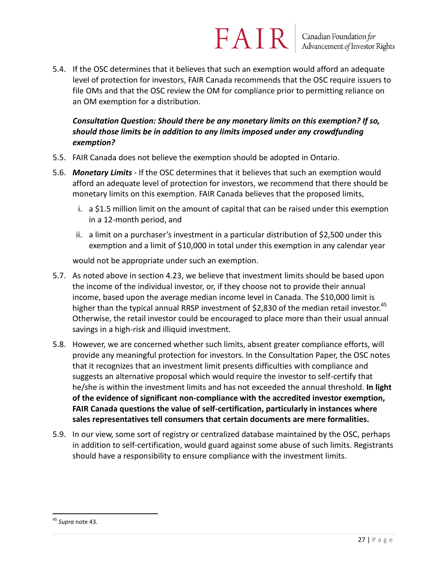5.4. If the OSC determines that it believes that such an exemption would afford an adequate level of protection for investors, FAIR Canada recommends that the OSC require issuers to file OMs and that the OSC review the OM for compliance prior to permitting reliance on an OM exemption for a distribution.

### *Consultation Question: Should there be any monetary limits on this exemption? If so, should those limits be in addition to any limits imposed under any crowdfunding exemption?*

- 5.5. FAIR Canada does not believe the exemption should be adopted in Ontario.
- 5.6. *Monetary Limits* If the OSC determines that it believes that such an exemption would afford an adequate level of protection for investors, we recommend that there should be monetary limits on this exemption. FAIR Canada believes that the proposed limits,
	- i. a \$1.5 million limit on the amount of capital that can be raised under this exemption in a 12-month period, and
	- ii. a limit on a purchaser's investment in a particular distribution of \$2,500 under this exemption and a limit of \$10,000 in total under this exemption in any calendar year

would not be appropriate under such an exemption.

- 5.7. As noted above in section 4.23, we believe that investment limits should be based upon the income of the individual investor, or, if they choose not to provide their annual income, based upon the average median income level in Canada. The \$10,000 limit is higher than the typical annual RRSP investment of \$2,830 of the median retail investor.<sup>45</sup> Otherwise, the retail investor could be encouraged to place more than their usual annual savings in a high-risk and illiquid investment.
- 5.8. However, we are concerned whether such limits, absent greater compliance efforts, will provide any meaningful protection for investors. In the Consultation Paper, the OSC notes that it recognizes that an investment limit presents difficulties with compliance and suggests an alternative proposal which would require the investor to self-certify that he/she is within the investment limits and has not exceeded the annual threshold. **In light of the evidence of significant non-compliance with the accredited investor exemption, FAIR Canada questions the value of self-certification, particularly in instances where sales representatives tell consumers that certain documents are mere formalities.**
- 5.9. In our view, some sort of registry or centralized database maintained by the OSC, perhaps in addition to self-certification, would guard against some abuse of such limits. Registrants should have a responsibility to ensure compliance with the investment limits.

 $\overline{a}$ <sup>45</sup> *Supra* note 43.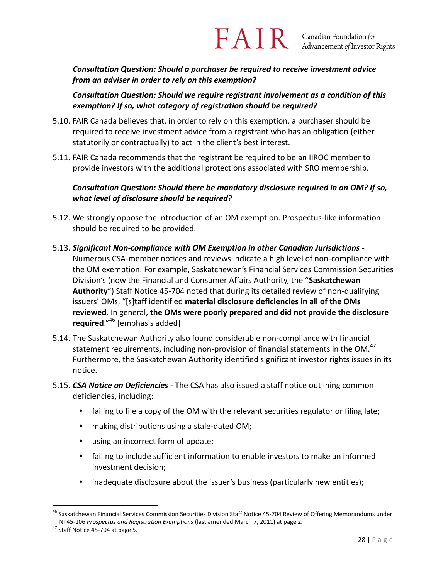*Consultation Question: Should a purchaser be required to receive investment advice from an adviser in order to rely on this exemption?*

*Consultation Question: Should we require registrant involvement as a condition of this exemption? If so, what category of registration should be required?*

- 5.10. FAIR Canada believes that, in order to rely on this exemption, a purchaser should be required to receive investment advice from a registrant who has an obligation (either statutorily or contractually) to act in the client's best interest.
- 5.11. FAIR Canada recommends that the registrant be required to be an IIROC member to provide investors with the additional protections associated with SRO membership.

*Consultation Question: Should there be mandatory disclosure required in an OM? If so, what level of disclosure should be required?*

- 5.12. We strongly oppose the introduction of an OM exemption. Prospectus-like information should be required to be provided.
- 5.13. *Significant Non-compliance with OM Exemption in other Canadian Jurisdictions -* Numerous CSA-member notices and reviews indicate a high level of non-compliance with the OM exemption. For example, Saskatchewan's Financial Services Commission Securities Division's (now the Financial and Consumer Affairs Authority, the "**Saskatchewan Authority**") Staff Notice 45-704 noted that during its detailed review of non-qualifying issuers' OMs, "[s]taff identified **material disclosure deficiencies in all of the OMs reviewed**. In general, **the OMs were poorly prepared and did not provide the disclosure required**."<sup>46</sup> [emphasis added]
- 5.14. The Saskatchewan Authority also found considerable non-compliance with financial statement requirements, including non-provision of financial statements in the OM.<sup>47</sup> Furthermore, the Saskatchewan Authority identified significant investor rights issues in its notice.
- 5.15. *CSA Notice on Deficiencies* The CSA has also issued a staff notice outlining common deficiencies, including:
	- failing to file a copy of the OM with the relevant securities regulator or filing late;
	- making distributions using a stale-dated OM;
	- using an incorrect form of update;
	- failing to include sufficient information to enable investors to make an informed investment decision;
	- inadequate disclosure about the issuer's business (particularly new entities);

<sup>&</sup>lt;sup>46</sup> Saskatchewan Financial Services Commission Securities Division Staff Notice 45-704 Review of Offering Memorandums under NI 45-106 *Prospectus and Registration Exemptions* (last amended March 7, 2011) at page 2*.*

<sup>&</sup>lt;sup>47</sup> Staff Notice 45-704 at page 5.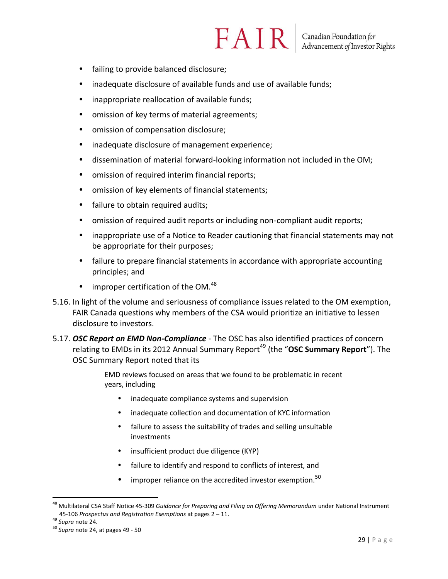- failing to provide balanced disclosure;
- inadequate disclosure of available funds and use of available funds;
- inappropriate reallocation of available funds;
- omission of key terms of material agreements;
- omission of compensation disclosure;
- inadequate disclosure of management experience;
- dissemination of material forward-looking information not included in the OM;
- omission of required interim financial reports;
- omission of key elements of financial statements;
- failure to obtain required audits;
- omission of required audit reports or including non-compliant audit reports;
- inappropriate use of a Notice to Reader cautioning that financial statements may not be appropriate for their purposes;
- failure to prepare financial statements in accordance with appropriate accounting principles; and
- $\bullet$  improper certification of the OM.<sup>48</sup>
- 5.16. In light of the volume and seriousness of compliance issues related to the OM exemption, FAIR Canada questions why members of the CSA would prioritize an initiative to lessen disclosure to investors.
- 5.17. *OSC Report on EMD Non-Compliance* The OSC has also identified practices of concern relating to EMDs in its 2012 Annual Summary Report<sup>49</sup> (the "OSC Summary Report"). The OSC Summary Report noted that its

EMD reviews focused on areas that we found to be problematic in recent years, including

- inadequate compliance systems and supervision
- inadequate collection and documentation of KYC information
- failure to assess the suitability of trades and selling unsuitable investments
- insufficient product due diligence (KYP)
- failure to identify and respond to conflicts of interest, and
- improper reliance on the accredited investor exemption.<sup>50</sup>

<sup>48</sup> Multilateral CSA Staff Notice 45-309 *Guidance for Preparing and Filing an Offering Memorandum* under National Instrument 45-106 *Prospectus and Registration Exemptions* at pages 2 – 11.

<sup>49</sup> *Supra* note 24.

<sup>50</sup> *Supra* note 24, at pages 49 - 50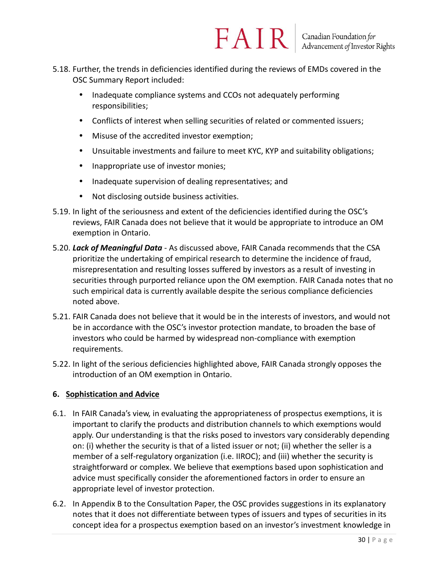- 5.18. Further, the trends in deficiencies identified during the reviews of EMDs covered in the OSC Summary Report included:
	- Inadequate compliance systems and CCOs not adequately performing responsibilities;
	- Conflicts of interest when selling securities of related or commented issuers;
	- Misuse of the accredited investor exemption;
	- Unsuitable investments and failure to meet KYC, KYP and suitability obligations;
	- Inappropriate use of investor monies;
	- Inadequate supervision of dealing representatives; and
	- Not disclosing outside business activities.
- 5.19. In light of the seriousness and extent of the deficiencies identified during the OSC's reviews, FAIR Canada does not believe that it would be appropriate to introduce an OM exemption in Ontario.
- 5.20. *Lack of Meaningful Data* As discussed above, FAIR Canada recommends that the CSA prioritize the undertaking of empirical research to determine the incidence of fraud, misrepresentation and resulting losses suffered by investors as a result of investing in securities through purported reliance upon the OM exemption. FAIR Canada notes that no such empirical data is currently available despite the serious compliance deficiencies noted above.
- 5.21. FAIR Canada does not believe that it would be in the interests of investors, and would not be in accordance with the OSC's investor protection mandate, to broaden the base of investors who could be harmed by widespread non-compliance with exemption requirements.
- 5.22. In light of the serious deficiencies highlighted above, FAIR Canada strongly opposes the introduction of an OM exemption in Ontario.

#### **6. Sophistication and Advice**

- 6.1. In FAIR Canada's view, in evaluating the appropriateness of prospectus exemptions, it is important to clarify the products and distribution channels to which exemptions would apply. Our understanding is that the risks posed to investors vary considerably depending on: (i) whether the security is that of a listed issuer or not; (ii) whether the seller is a member of a self-regulatory organization (i.e. IIROC); and (iii) whether the security is straightforward or complex. We believe that exemptions based upon sophistication and advice must specifically consider the aforementioned factors in order to ensure an appropriate level of investor protection.
- 6.2. In Appendix B to the Consultation Paper, the OSC provides suggestions in its explanatory notes that it does not differentiate between types of issuers and types of securities in its concept idea for a prospectus exemption based on an investor's investment knowledge in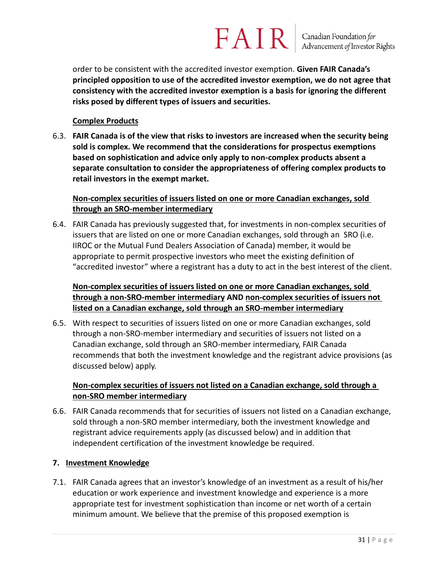order to be consistent with the accredited investor exemption. **Given FAIR Canada's principled opposition to use of the accredited investor exemption, we do not agree that consistency with the accredited investor exemption is a basis for ignoring the different risks posed by different types of issuers and securities.**

#### **Complex Products**

6.3. **FAIR Canada is of the view that risks to investors are increased when the security being sold is complex. We recommend that the considerations for prospectus exemptions based on sophistication and advice only apply to non-complex products absent a separate consultation to consider the appropriateness of offering complex products to retail investors in the exempt market.**

#### **Non-complex securities of issuers listed on one or more Canadian exchanges, sold through an SRO-member intermediary**

6.4. FAIR Canada has previously suggested that, for investments in non-complex securities of issuers that are listed on one or more Canadian exchanges, sold through an SRO (i.e. IIROC or the Mutual Fund Dealers Association of Canada) member, it would be appropriate to permit prospective investors who meet the existing definition of "accredited investor" where a registrant has a duty to act in the best interest of the client.

### **Non-complex securities of issuers listed on one or more Canadian exchanges, sold through a non-SRO-member intermediary AND non-complex securities of issuers not listed on a Canadian exchange, sold through an SRO-member intermediary**

6.5. With respect to securities of issuers listed on one or more Canadian exchanges, sold through a non-SRO-member intermediary and securities of issuers not listed on a Canadian exchange, sold through an SRO-member intermediary, FAIR Canada recommends that both the investment knowledge and the registrant advice provisions (as discussed below) apply.

### **Non-complex securities of issuers not listed on a Canadian exchange, sold through a non-SRO member intermediary**

6.6. FAIR Canada recommends that for securities of issuers not listed on a Canadian exchange, sold through a non-SRO member intermediary, both the investment knowledge and registrant advice requirements apply (as discussed below) and in addition that independent certification of the investment knowledge be required.

#### **7. Investment Knowledge**

7.1. FAIR Canada agrees that an investor's knowledge of an investment as a result of his/her education or work experience and investment knowledge and experience is a more appropriate test for investment sophistication than income or net worth of a certain minimum amount. We believe that the premise of this proposed exemption is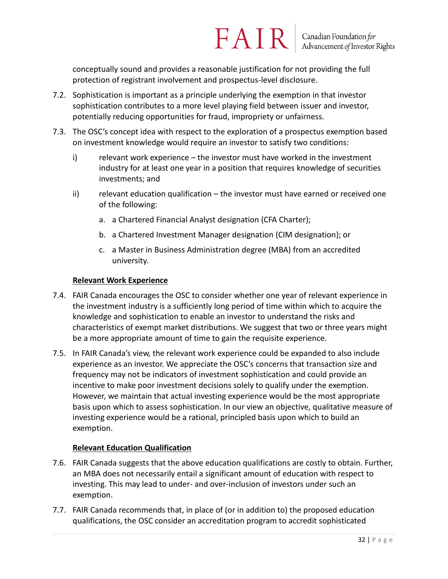conceptually sound and provides a reasonable justification for not providing the full protection of registrant involvement and prospectus-level disclosure.

- 7.2. Sophistication is important as a principle underlying the exemption in that investor sophistication contributes to a more level playing field between issuer and investor, potentially reducing opportunities for fraud, impropriety or unfairness.
- 7.3. The OSC's concept idea with respect to the exploration of a prospectus exemption based on investment knowledge would require an investor to satisfy two conditions:
	- i) relevant work experience the investor must have worked in the investment industry for at least one year in a position that requires knowledge of securities investments; and
	- ii) relevant education qualification the investor must have earned or received one of the following:
		- a. a Chartered Financial Analyst designation (CFA Charter);
		- b. a Chartered Investment Manager designation (CIM designation); or
		- c. a Master in Business Administration degree (MBA) from an accredited university.

#### **Relevant Work Experience**

- 7.4. FAIR Canada encourages the OSC to consider whether one year of relevant experience in the investment industry is a sufficiently long period of time within which to acquire the knowledge and sophistication to enable an investor to understand the risks and characteristics of exempt market distributions. We suggest that two or three years might be a more appropriate amount of time to gain the requisite experience.
- 7.5. In FAIR Canada's view, the relevant work experience could be expanded to also include experience as an investor. We appreciate the OSC's concerns that transaction size and frequency may not be indicators of investment sophistication and could provide an incentive to make poor investment decisions solely to qualify under the exemption. However, we maintain that actual investing experience would be the most appropriate basis upon which to assess sophistication. In our view an objective, qualitative measure of investing experience would be a rational, principled basis upon which to build an exemption.

#### **Relevant Education Qualification**

- 7.6. FAIR Canada suggests that the above education qualifications are costly to obtain. Further, an MBA does not necessarily entail a significant amount of education with respect to investing. This may lead to under- and over-inclusion of investors under such an exemption.
- 7.7. FAIR Canada recommends that, in place of (or in addition to) the proposed education qualifications, the OSC consider an accreditation program to accredit sophisticated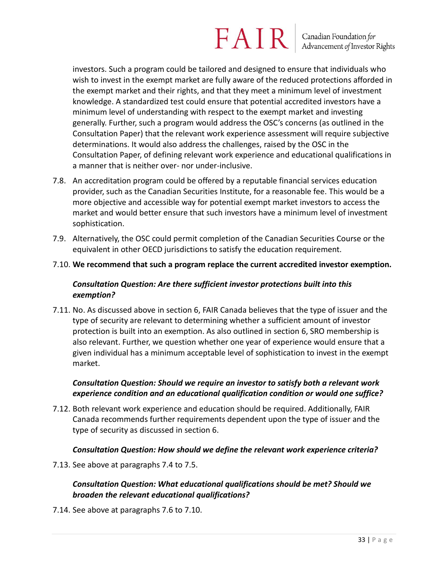### $FAN$  R  $\vert$  Canadian Foundation for

investors. Such a program could be tailored and designed to ensure that individuals who wish to invest in the exempt market are fully aware of the reduced protections afforded in the exempt market and their rights, and that they meet a minimum level of investment knowledge. A standardized test could ensure that potential accredited investors have a minimum level of understanding with respect to the exempt market and investing generally. Further, such a program would address the OSC's concerns (as outlined in the Consultation Paper) that the relevant work experience assessment will require subjective determinations. It would also address the challenges, raised by the OSC in the Consultation Paper, of defining relevant work experience and educational qualifications in a manner that is neither over- nor under-inclusive.

- 7.8. An accreditation program could be offered by a reputable financial services education provider, such as the Canadian Securities Institute, for a reasonable fee. This would be a more objective and accessible way for potential exempt market investors to access the market and would better ensure that such investors have a minimum level of investment sophistication.
- 7.9. Alternatively, the OSC could permit completion of the Canadian Securities Course or the equivalent in other OECD jurisdictions to satisfy the education requirement.
- 7.10. **We recommend that such a program replace the current accredited investor exemption.**

### *Consultation Question: Are there sufficient investor protections built into this exemption?*

7.11. No. As discussed above in section 6, FAIR Canada believes that the type of issuer and the type of security are relevant to determining whether a sufficient amount of investor protection is built into an exemption. As also outlined in section 6, SRO membership is also relevant. Further, we question whether one year of experience would ensure that a given individual has a minimum acceptable level of sophistication to invest in the exempt market.

### *Consultation Question: Should we require an investor to satisfy both a relevant work experience condition and an educational qualification condition or would one suffice?*

7.12. Both relevant work experience and education should be required. Additionally, FAIR Canada recommends further requirements dependent upon the type of issuer and the type of security as discussed in section 6.

### *Consultation Question: How should we define the relevant work experience criteria?*

7.13. See above at paragraphs 7.4 to 7.5.

### *Consultation Question: What educational qualifications should be met? Should we broaden the relevant educational qualifications?*

7.14. See above at paragraphs 7.6 to 7.10.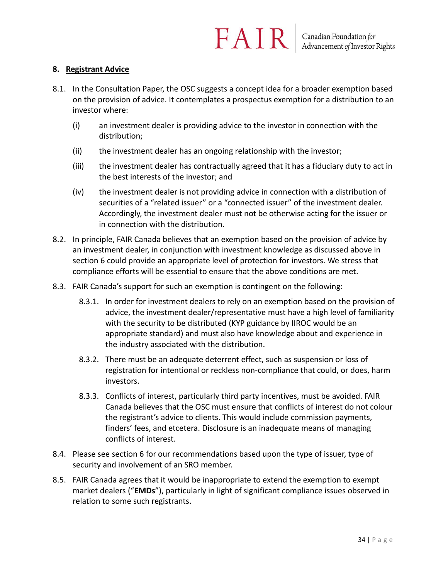#### **8. Registrant Advice**

- 8.1. In the Consultation Paper, the OSC suggests a concept idea for a broader exemption based on the provision of advice. It contemplates a prospectus exemption for a distribution to an investor where:
	- (i) an investment dealer is providing advice to the investor in connection with the distribution;
	- (ii) the investment dealer has an ongoing relationship with the investor;
	- (iii) the investment dealer has contractually agreed that it has a fiduciary duty to act in the best interests of the investor; and
	- (iv) the investment dealer is not providing advice in connection with a distribution of securities of a "related issuer" or a "connected issuer" of the investment dealer. Accordingly, the investment dealer must not be otherwise acting for the issuer or in connection with the distribution.
- 8.2. In principle, FAIR Canada believes that an exemption based on the provision of advice by an investment dealer, in conjunction with investment knowledge as discussed above in section 6 could provide an appropriate level of protection for investors. We stress that compliance efforts will be essential to ensure that the above conditions are met.
- 8.3. FAIR Canada's support for such an exemption is contingent on the following:
	- 8.3.1. In order for investment dealers to rely on an exemption based on the provision of advice, the investment dealer/representative must have a high level of familiarity with the security to be distributed (KYP guidance by IIROC would be an appropriate standard) and must also have knowledge about and experience in the industry associated with the distribution.
	- 8.3.2. There must be an adequate deterrent effect, such as suspension or loss of registration for intentional or reckless non-compliance that could, or does, harm investors.
	- 8.3.3. Conflicts of interest, particularly third party incentives, must be avoided. FAIR Canada believes that the OSC must ensure that conflicts of interest do not colour the registrant's advice to clients. This would include commission payments, finders' fees, and etcetera. Disclosure is an inadequate means of managing conflicts of interest.
- 8.4. Please see section 6 for our recommendations based upon the type of issuer, type of security and involvement of an SRO member.
- 8.5. FAIR Canada agrees that it would be inappropriate to extend the exemption to exempt market dealers ("**EMDs**"), particularly in light of significant compliance issues observed in relation to some such registrants.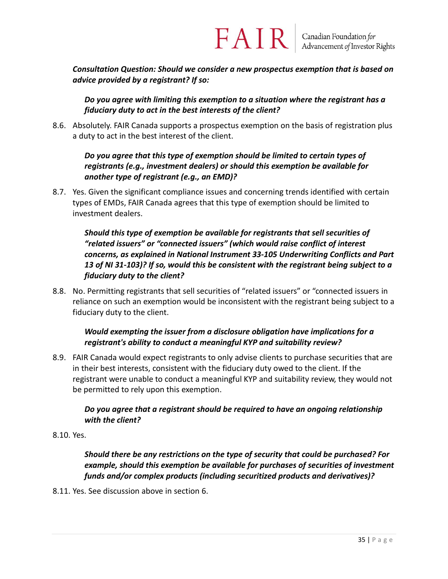*Consultation Question: Should we consider a new prospectus exemption that is based on advice provided by a registrant? If so:*

FAIR

*Do you agree with limiting this exemption to a situation where the registrant has a fiduciary duty to act in the best interests of the client?*

8.6. Absolutely. FAIR Canada supports a prospectus exemption on the basis of registration plus a duty to act in the best interest of the client.

### *Do you agree that this type of exemption should be limited to certain types of registrants (e.g., investment dealers) or should this exemption be available for another type of registrant (e.g., an EMD)?*

8.7. Yes. Given the significant compliance issues and concerning trends identified with certain types of EMDs, FAIR Canada agrees that this type of exemption should be limited to investment dealers.

*Should this type of exemption be available for registrants that sell securities of "related issuers" or "connected issuers" (which would raise conflict of interest concerns, as explained in National Instrument 33‐105 Underwriting Conflicts and Part 13 of NI 31‐103)? If so, would this be consistent with the registrant being subject to a fiduciary duty to the client?*

8.8. No. Permitting registrants that sell securities of "related issuers" or "connected issuers in reliance on such an exemption would be inconsistent with the registrant being subject to a fiduciary duty to the client.

### *Would exempting the issuer from a disclosure obligation have implications for a registrant's ability to conduct a meaningful KYP and suitability review?*

8.9. FAIR Canada would expect registrants to only advise clients to purchase securities that are in their best interests, consistent with the fiduciary duty owed to the client. If the registrant were unable to conduct a meaningful KYP and suitability review, they would not be permitted to rely upon this exemption.

### *Do you agree that a registrant should be required to have an ongoing relationship with the client?*

8.10. Yes.

### *Should there be any restrictions on the type of security that could be purchased? For example, should this exemption be available for purchases of securities of investment funds and/or complex products (including securitized products and derivatives)?*

8.11. Yes. See discussion above in section 6.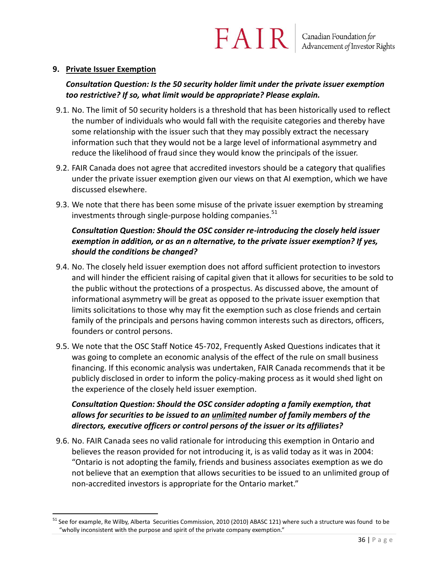#### **9. Private Issuer Exemption**

 $\overline{a}$ 

### *Consultation Question: Is the 50 security holder limit under the private issuer exemption too restrictive? If so, what limit would be appropriate? Please explain.*

- 9.1. No. The limit of 50 security holders is a threshold that has been historically used to reflect the number of individuals who would fall with the requisite categories and thereby have some relationship with the issuer such that they may possibly extract the necessary information such that they would not be a large level of informational asymmetry and reduce the likelihood of fraud since they would know the principals of the issuer.
- 9.2. FAIR Canada does not agree that accredited investors should be a category that qualifies under the private issuer exemption given our views on that AI exemption, which we have discussed elsewhere.
- 9.3. We note that there has been some misuse of the private issuer exemption by streaming investments through single-purpose holding companies. $51$

### *Consultation Question: Should the OSC consider re-introducing the closely held issuer exemption in addition, or as an n alternative, to the private issuer exemption? If yes, should the conditions be changed?*

- 9.4. No. The closely held issuer exemption does not afford sufficient protection to investors and will hinder the efficient raising of capital given that it allows for securities to be sold to the public without the protections of a prospectus. As discussed above, the amount of informational asymmetry will be great as opposed to the private issuer exemption that limits solicitations to those why may fit the exemption such as close friends and certain family of the principals and persons having common interests such as directors, officers, founders or control persons.
- 9.5. We note that the OSC Staff Notice 45-702, Frequently Asked Questions indicates that it was going to complete an economic analysis of the effect of the rule on small business financing. If this economic analysis was undertaken, FAIR Canada recommends that it be publicly disclosed in order to inform the policy-making process as it would shed light on the experience of the closely held issuer exemption.

### *Consultation Question: Should the OSC consider adopting a family exemption, that allows for securities to be issued to an unlimited number of family members of the directors, executive officers or control persons of the issuer or its affiliates?*

9.6. No. FAIR Canada sees no valid rationale for introducing this exemption in Ontario and believes the reason provided for not introducing it, is as valid today as it was in 2004: "Ontario is not adopting the family, friends and business associates exemption as we do not believe that an exemption that allows securities to be issued to an unlimited group of non-accredited investors is appropriate for the Ontario market."

<sup>&</sup>lt;sup>51</sup> See for example, Re Wilby, Alberta Securities Commission, 2010 (2010) ABASC 121) where such a structure was found to be "wholly inconsistent with the purpose and spirit of the private company exemption."